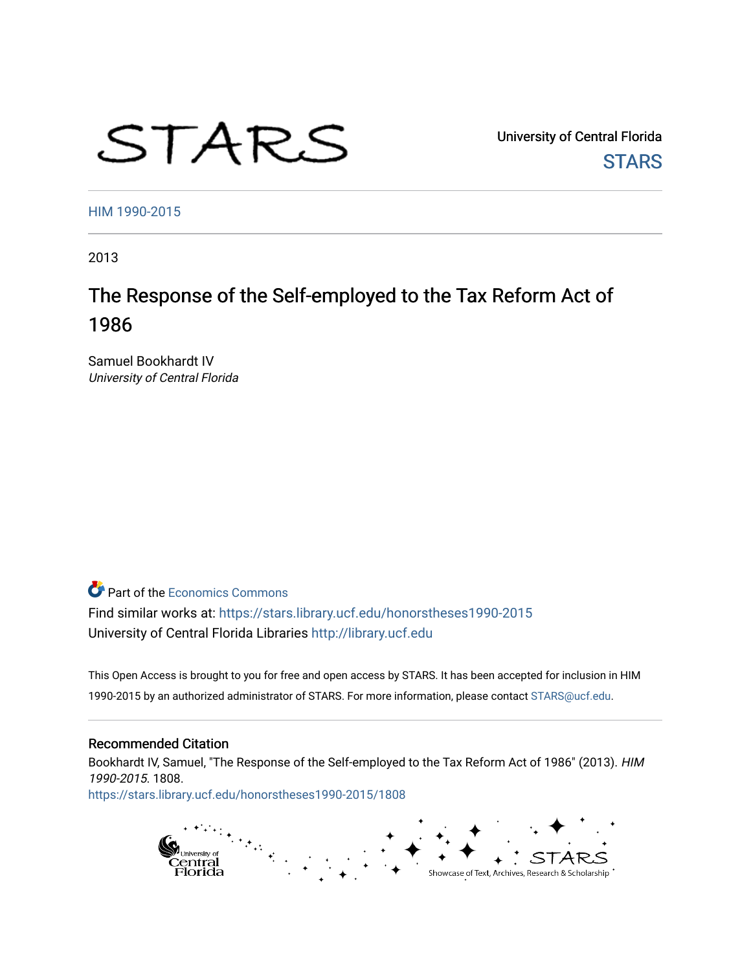# STARS

University of Central Florida **STARS** 

[HIM 1990-2015](https://stars.library.ucf.edu/honorstheses1990-2015) 

2013

# The Response of the Self-employed to the Tax Reform Act of 1986

Samuel Bookhardt IV University of Central Florida

**P** Part of the [Economics Commons](http://network.bepress.com/hgg/discipline/340?utm_source=stars.library.ucf.edu%2Fhonorstheses1990-2015%2F1808&utm_medium=PDF&utm_campaign=PDFCoverPages)

Find similar works at: <https://stars.library.ucf.edu/honorstheses1990-2015> University of Central Florida Libraries [http://library.ucf.edu](http://library.ucf.edu/) 

This Open Access is brought to you for free and open access by STARS. It has been accepted for inclusion in HIM 1990-2015 by an authorized administrator of STARS. For more information, please contact [STARS@ucf.edu](mailto:STARS@ucf.edu).

#### Recommended Citation

Bookhardt IV, Samuel, "The Response of the Self-employed to the Tax Reform Act of 1986" (2013). HIM 1990-2015. 1808.

[https://stars.library.ucf.edu/honorstheses1990-2015/1808](https://stars.library.ucf.edu/honorstheses1990-2015/1808?utm_source=stars.library.ucf.edu%2Fhonorstheses1990-2015%2F1808&utm_medium=PDF&utm_campaign=PDFCoverPages) 

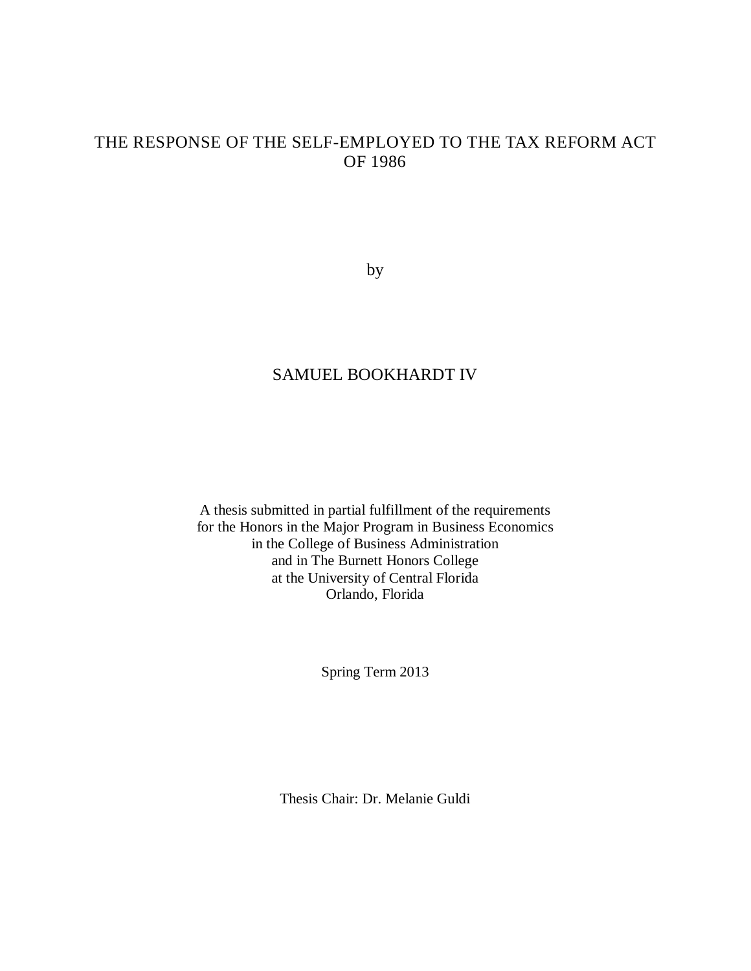## THE RESPONSE OF THE SELF-EMPLOYED TO THE TAX REFORM ACT OF 1986

by

## SAMUEL BOOKHARDT IV

A thesis submitted in partial fulfillment of the requirements for the Honors in the Major Program in Business Economics in the College of Business Administration and in The Burnett Honors College at the University of Central Florida Orlando, Florida

Spring Term 2013

Thesis Chair: Dr. Melanie Guldi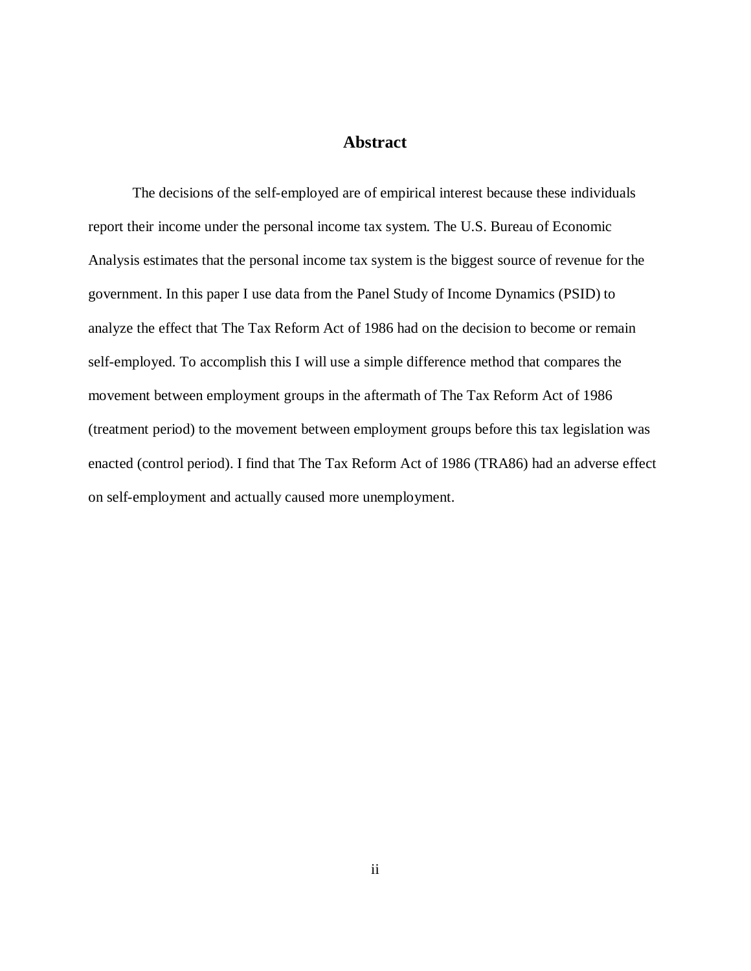#### **Abstract**

The decisions of the self-employed are of empirical interest because these individuals report their income under the personal income tax system. The U.S. Bureau of Economic Analysis estimates that the personal income tax system is the biggest source of revenue for the government. In this paper I use data from the Panel Study of Income Dynamics (PSID) to analyze the effect that The Tax Reform Act of 1986 had on the decision to become or remain self-employed. To accomplish this I will use a simple difference method that compares the movement between employment groups in the aftermath of The Tax Reform Act of 1986 (treatment period) to the movement between employment groups before this tax legislation was enacted (control period). I find that The Tax Reform Act of 1986 (TRA86) had an adverse effect on self-employment and actually caused more unemployment.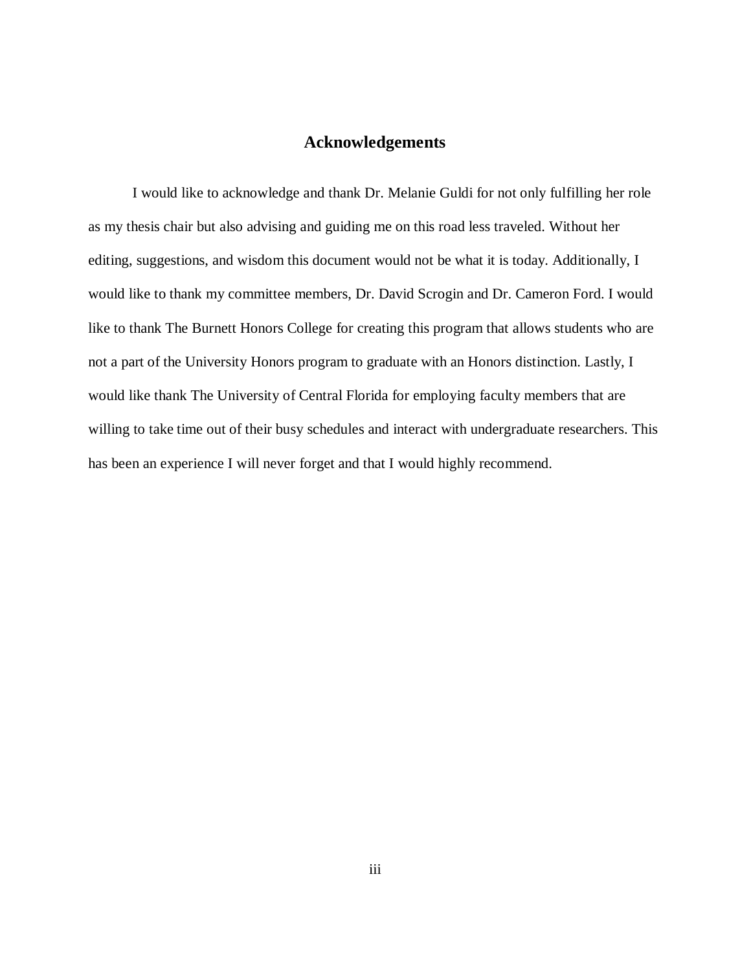#### **Acknowledgements**

I would like to acknowledge and thank Dr. Melanie Guldi for not only fulfilling her role as my thesis chair but also advising and guiding me on this road less traveled. Without her editing, suggestions, and wisdom this document would not be what it is today. Additionally, I would like to thank my committee members, Dr. David Scrogin and Dr. Cameron Ford. I would like to thank The Burnett Honors College for creating this program that allows students who are not a part of the University Honors program to graduate with an Honors distinction. Lastly, I would like thank The University of Central Florida for employing faculty members that are willing to take time out of their busy schedules and interact with undergraduate researchers. This has been an experience I will never forget and that I would highly recommend.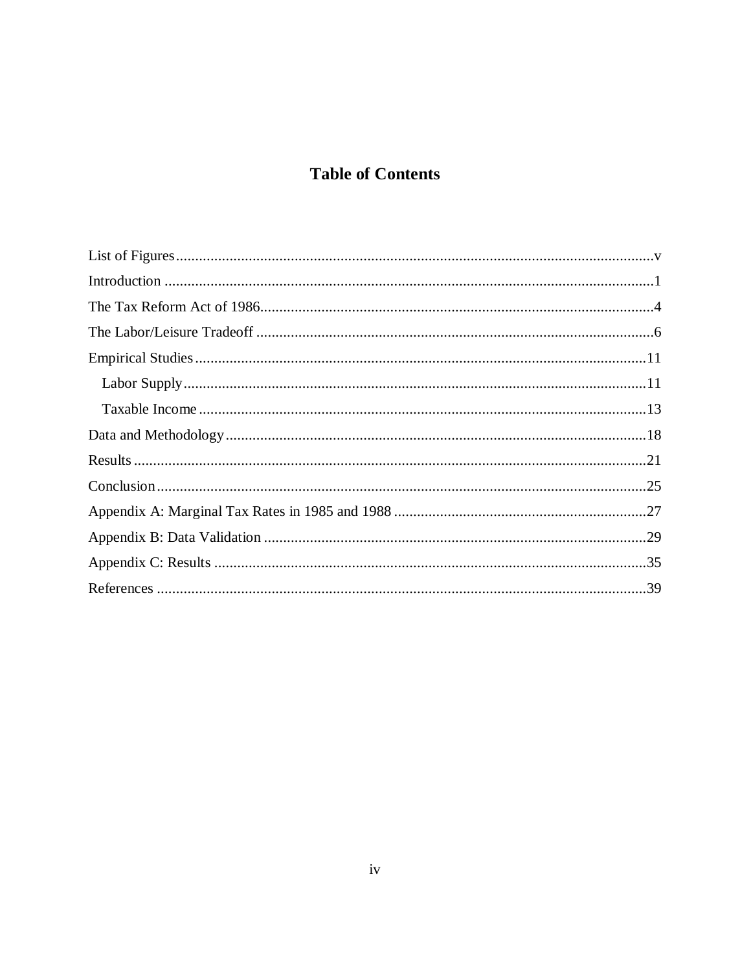# **Table of Contents**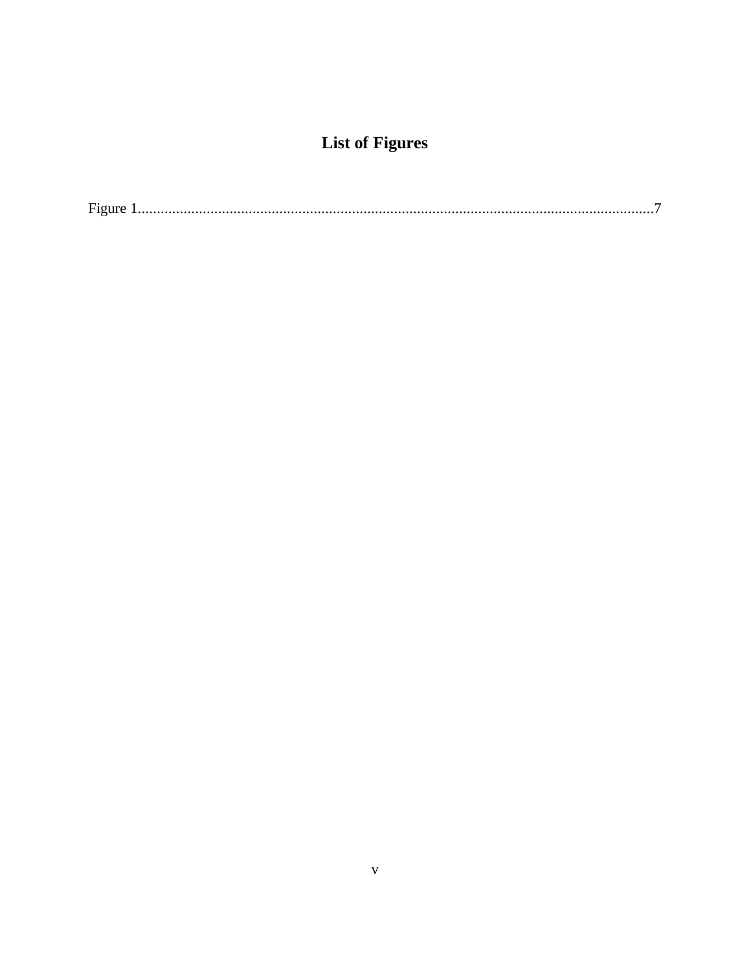# **List of Figures**

<span id="page-5-0"></span>

| $\overline{\phantom{a}}$ |
|--------------------------|
|--------------------------|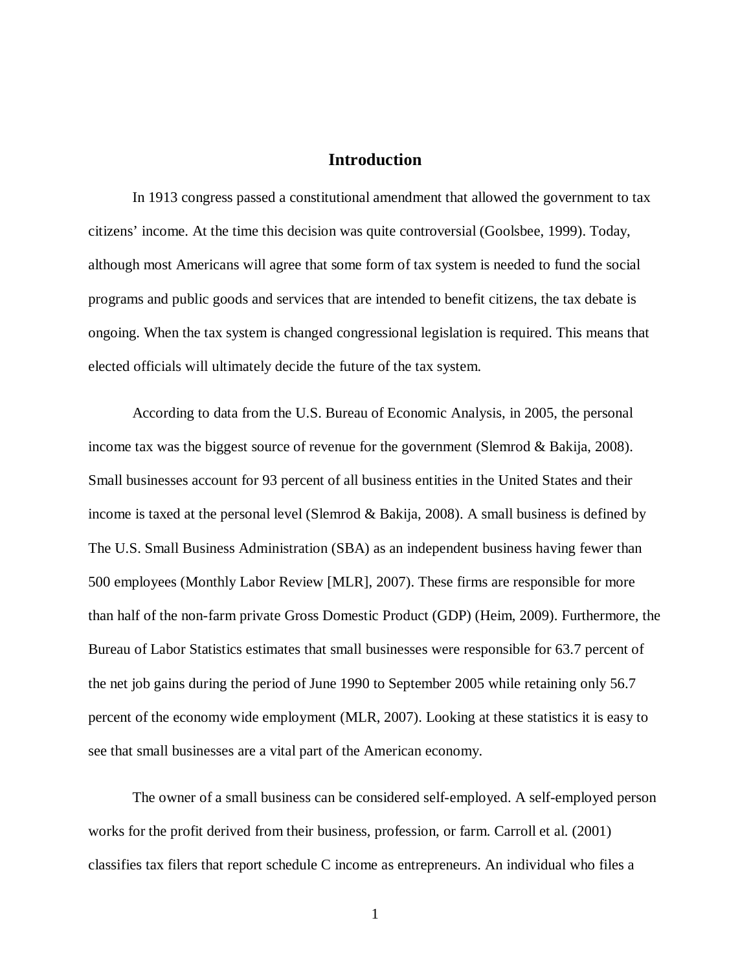#### **Introduction**

<span id="page-6-0"></span>In 1913 congress passed a constitutional amendment that allowed the government to tax citizens' income. At the time this decision was quite controversial (Goolsbee, 1999). Today, although most Americans will agree that some form of tax system is needed to fund the social programs and public goods and services that are intended to benefit citizens, the tax debate is ongoing. When the tax system is changed congressional legislation is required. This means that elected officials will ultimately decide the future of the tax system.

According to data from the U.S. Bureau of Economic Analysis, in 2005, the personal income tax was the biggest source of revenue for the government (Slemrod & Bakija, 2008). Small businesses account for 93 percent of all business entities in the United States and their income is taxed at the personal level (Slemrod & Bakija, 2008). A small business is defined by The U.S. Small Business Administration (SBA) as an independent business having fewer than 500 employees (Monthly Labor Review [MLR], 2007). These firms are responsible for more than half of the non-farm private Gross Domestic Product (GDP) (Heim, 2009). Furthermore, the Bureau of Labor Statistics estimates that small businesses were responsible for 63.7 percent of the net job gains during the period of June 1990 to September 2005 while retaining only 56.7 percent of the economy wide employment (MLR, 2007). Looking at these statistics it is easy to see that small businesses are a vital part of the American economy.

The owner of a small business can be considered self-employed. A self-employed person works for the profit derived from their business, profession, or farm. Carroll et al. (2001) classifies tax filers that report schedule C income as entrepreneurs. An individual who files a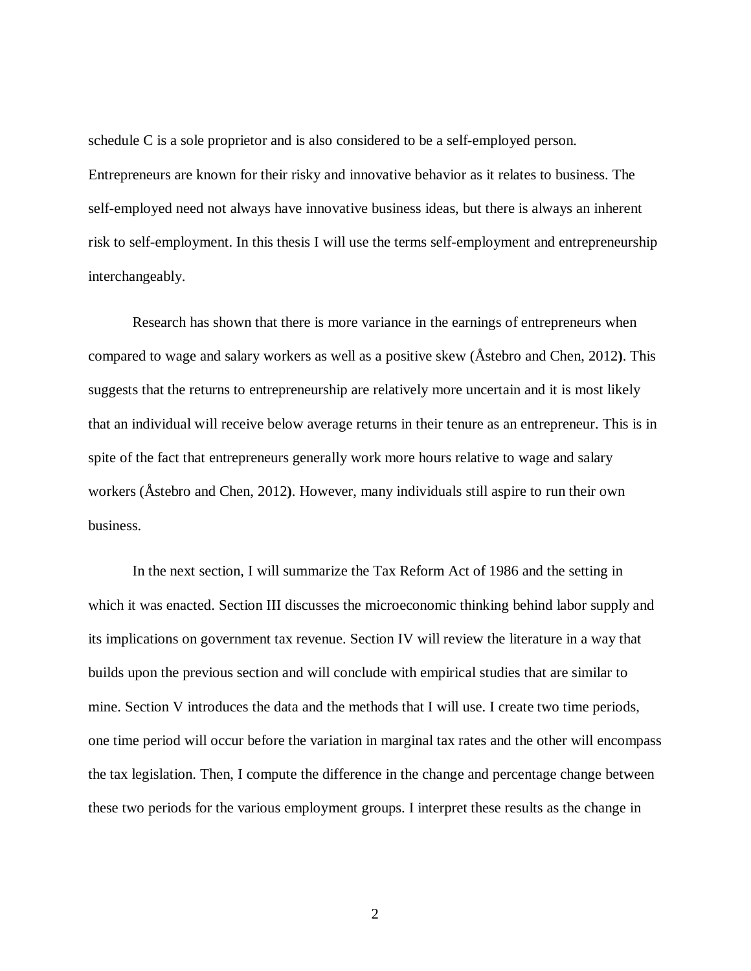schedule C is a sole proprietor and is also considered to be a self-employed person. Entrepreneurs are known for their risky and innovative behavior as it relates to business. The self-employed need not always have innovative business ideas, but there is always an inherent risk to self-employment. In this thesis I will use the terms self-employment and entrepreneurship interchangeably.

Research has shown that there is more variance in the earnings of entrepreneurs when compared to wage and salary workers as well as a positive skew (Åstebro and Chen, 2012**)**. This suggests that the returns to entrepreneurship are relatively more uncertain and it is most likely that an individual will receive below average returns in their tenure as an entrepreneur. This is in spite of the fact that entrepreneurs generally work more hours relative to wage and salary workers (Åstebro and Chen, 2012**)**. However, many individuals still aspire to run their own business.

In the next section, I will summarize the Tax Reform Act of 1986 and the setting in which it was enacted. Section III discusses the microeconomic thinking behind labor supply and its implications on government tax revenue. Section IV will review the literature in a way that builds upon the previous section and will conclude with empirical studies that are similar to mine. Section V introduces the data and the methods that I will use. I create two time periods, one time period will occur before the variation in marginal tax rates and the other will encompass the tax legislation. Then, I compute the difference in the change and percentage change between these two periods for the various employment groups. I interpret these results as the change in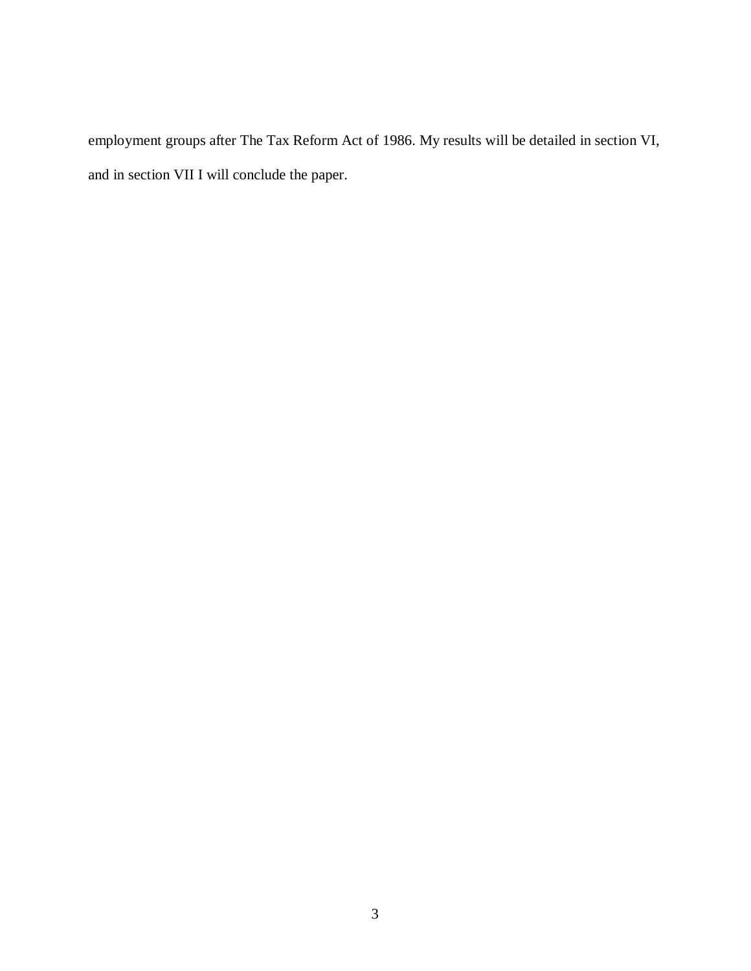employment groups after The Tax Reform Act of 1986. My results will be detailed in section VI, and in section VII I will conclude the paper.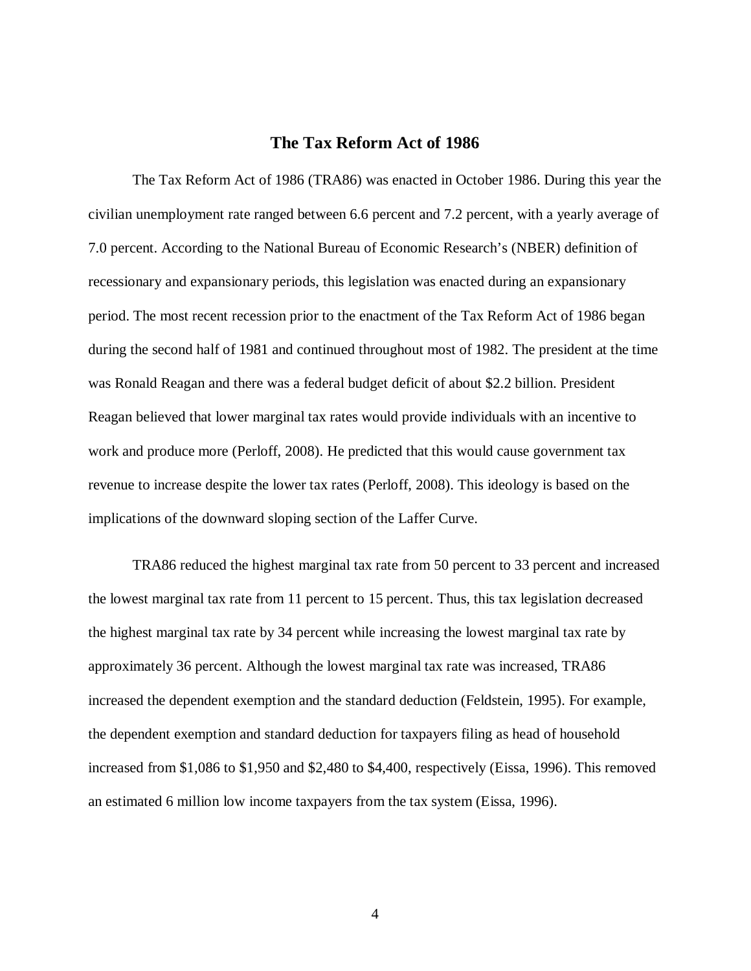#### **The Tax Reform Act of 1986**

<span id="page-9-0"></span>The Tax Reform Act of 1986 (TRA86) was enacted in October 1986. During this year the civilian unemployment rate ranged between 6.6 percent and 7.2 percent, with a yearly average of 7.0 percent. According to the National Bureau of Economic Research's (NBER) definition of recessionary and expansionary periods, this legislation was enacted during an expansionary period. The most recent recession prior to the enactment of the Tax Reform Act of 1986 began during the second half of 1981 and continued throughout most of 1982. The president at the time was Ronald Reagan and there was a federal budget deficit of about \$2.2 billion. President Reagan believed that lower marginal tax rates would provide individuals with an incentive to work and produce more (Perloff, 2008). He predicted that this would cause government tax revenue to increase despite the lower tax rates (Perloff, 2008). This ideology is based on the implications of the downward sloping section of the Laffer Curve.

TRA86 reduced the highest marginal tax rate from 50 percent to 33 percent and increased the lowest marginal tax rate from 11 percent to 15 percent. Thus, this tax legislation decreased the highest marginal tax rate by 34 percent while increasing the lowest marginal tax rate by approximately 36 percent. Although the lowest marginal tax rate was increased, TRA86 increased the dependent exemption and the standard deduction (Feldstein, 1995). For example, the dependent exemption and standard deduction for taxpayers filing as head of household increased from \$1,086 to \$1,950 and \$2,480 to \$4,400, respectively (Eissa, 1996). This removed an estimated 6 million low income taxpayers from the tax system (Eissa, 1996).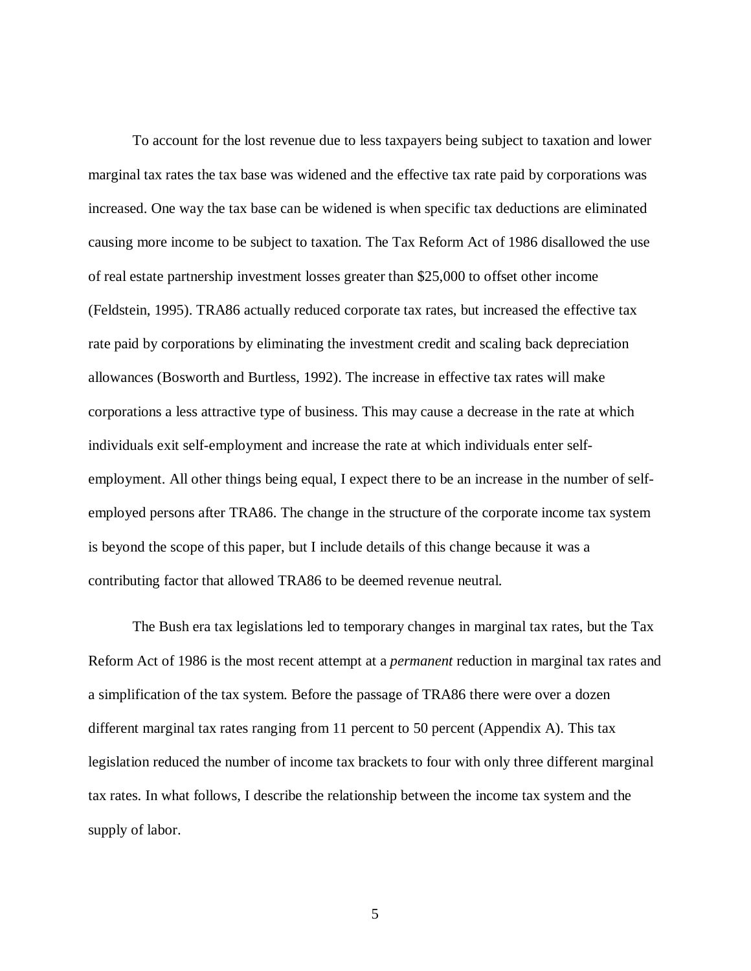To account for the lost revenue due to less taxpayers being subject to taxation and lower marginal tax rates the tax base was widened and the effective tax rate paid by corporations was increased. One way the tax base can be widened is when specific tax deductions are eliminated causing more income to be subject to taxation. The Tax Reform Act of 1986 disallowed the use of real estate partnership investment losses greater than \$25,000 to offset other income (Feldstein, 1995). TRA86 actually reduced corporate tax rates, but increased the effective tax rate paid by corporations by eliminating the investment credit and scaling back depreciation allowances (Bosworth and Burtless, 1992). The increase in effective tax rates will make corporations a less attractive type of business. This may cause a decrease in the rate at which individuals exit self-employment and increase the rate at which individuals enter selfemployment. All other things being equal, I expect there to be an increase in the number of selfemployed persons after TRA86. The change in the structure of the corporate income tax system is beyond the scope of this paper, but I include details of this change because it was a contributing factor that allowed TRA86 to be deemed revenue neutral.

The Bush era tax legislations led to temporary changes in marginal tax rates, but the Tax Reform Act of 1986 is the most recent attempt at a *permanent* reduction in marginal tax rates and a simplification of the tax system. Before the passage of TRA86 there were over a dozen different marginal tax rates ranging from 11 percent to 50 percent (Appendix A). This tax legislation reduced the number of income tax brackets to four with only three different marginal tax rates. In what follows, I describe the relationship between the income tax system and the supply of labor.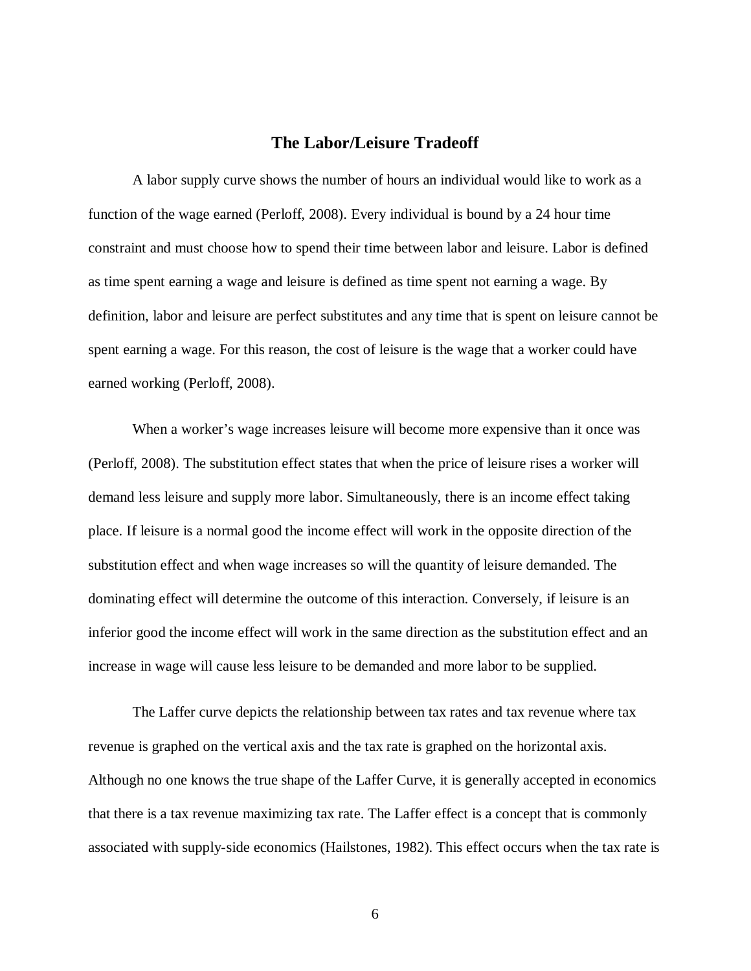#### **The Labor/Leisure Tradeoff**

<span id="page-11-0"></span>A labor supply curve shows the number of hours an individual would like to work as a function of the wage earned (Perloff, 2008). Every individual is bound by a 24 hour time constraint and must choose how to spend their time between labor and leisure. Labor is defined as time spent earning a wage and leisure is defined as time spent not earning a wage. By definition, labor and leisure are perfect substitutes and any time that is spent on leisure cannot be spent earning a wage. For this reason, the cost of leisure is the wage that a worker could have earned working (Perloff, 2008).

When a worker's wage increases leisure will become more expensive than it once was (Perloff, 2008). The substitution effect states that when the price of leisure rises a worker will demand less leisure and supply more labor. Simultaneously, there is an income effect taking place. If leisure is a normal good the income effect will work in the opposite direction of the substitution effect and when wage increases so will the quantity of leisure demanded. The dominating effect will determine the outcome of this interaction. Conversely, if leisure is an inferior good the income effect will work in the same direction as the substitution effect and an increase in wage will cause less leisure to be demanded and more labor to be supplied.

The Laffer curve depicts the relationship between tax rates and tax revenue where tax revenue is graphed on the vertical axis and the tax rate is graphed on the horizontal axis. Although no one knows the true shape of the Laffer Curve, it is generally accepted in economics that there is a tax revenue maximizing tax rate. The Laffer effect is a concept that is commonly associated with supply-side economics (Hailstones, 1982). This effect occurs when the tax rate is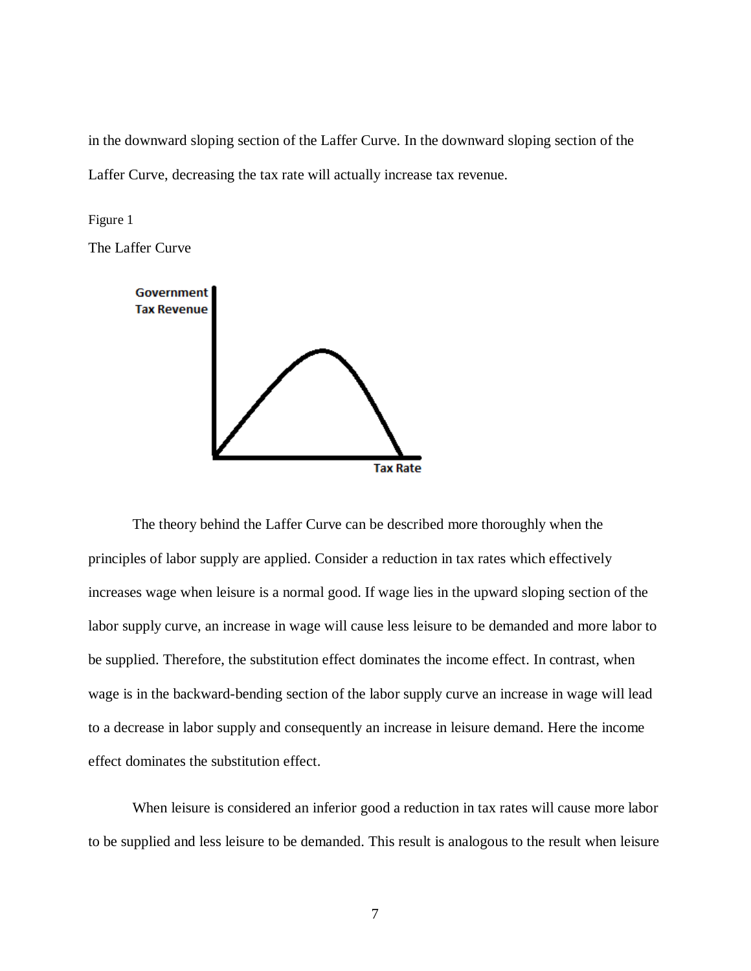in the downward sloping section of the Laffer Curve. In the downward sloping section of the Laffer Curve, decreasing the tax rate will actually increase tax revenue.

<span id="page-12-0"></span>Figure 1

The Laffer Curve



The theory behind the Laffer Curve can be described more thoroughly when the principles of labor supply are applied. Consider a reduction in tax rates which effectively increases wage when leisure is a normal good. If wage lies in the upward sloping section of the labor supply curve, an increase in wage will cause less leisure to be demanded and more labor to be supplied. Therefore, the substitution effect dominates the income effect. In contrast, when wage is in the backward-bending section of the labor supply curve an increase in wage will lead to a decrease in labor supply and consequently an increase in leisure demand. Here the income effect dominates the substitution effect.

When leisure is considered an inferior good a reduction in tax rates will cause more labor to be supplied and less leisure to be demanded. This result is analogous to the result when leisure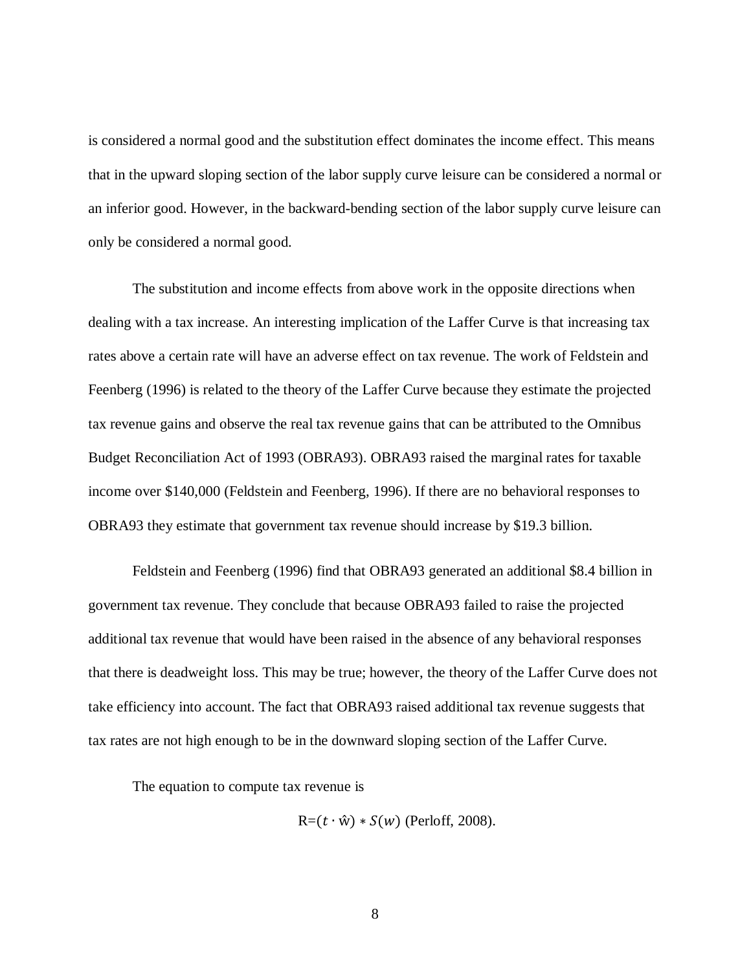is considered a normal good and the substitution effect dominates the income effect. This means that in the upward sloping section of the labor supply curve leisure can be considered a normal or an inferior good. However, in the backward-bending section of the labor supply curve leisure can only be considered a normal good.

The substitution and income effects from above work in the opposite directions when dealing with a tax increase. An interesting implication of the Laffer Curve is that increasing tax rates above a certain rate will have an adverse effect on tax revenue. The work of Feldstein and Feenberg (1996) is related to the theory of the Laffer Curve because they estimate the projected tax revenue gains and observe the real tax revenue gains that can be attributed to the Omnibus Budget Reconciliation Act of 1993 (OBRA93). OBRA93 raised the marginal rates for taxable income over \$140,000 (Feldstein and Feenberg, 1996). If there are no behavioral responses to OBRA93 they estimate that government tax revenue should increase by \$19.3 billion.

Feldstein and Feenberg (1996) find that OBRA93 generated an additional \$8.4 billion in government tax revenue. They conclude that because OBRA93 failed to raise the projected additional tax revenue that would have been raised in the absence of any behavioral responses that there is deadweight loss. This may be true; however, the theory of the Laffer Curve does not take efficiency into account. The fact that OBRA93 raised additional tax revenue suggests that tax rates are not high enough to be in the downward sloping section of the Laffer Curve.

The equation to compute tax revenue is

 $R=(t \cdot \hat{w}) * S(w)$  (Perloff, 2008).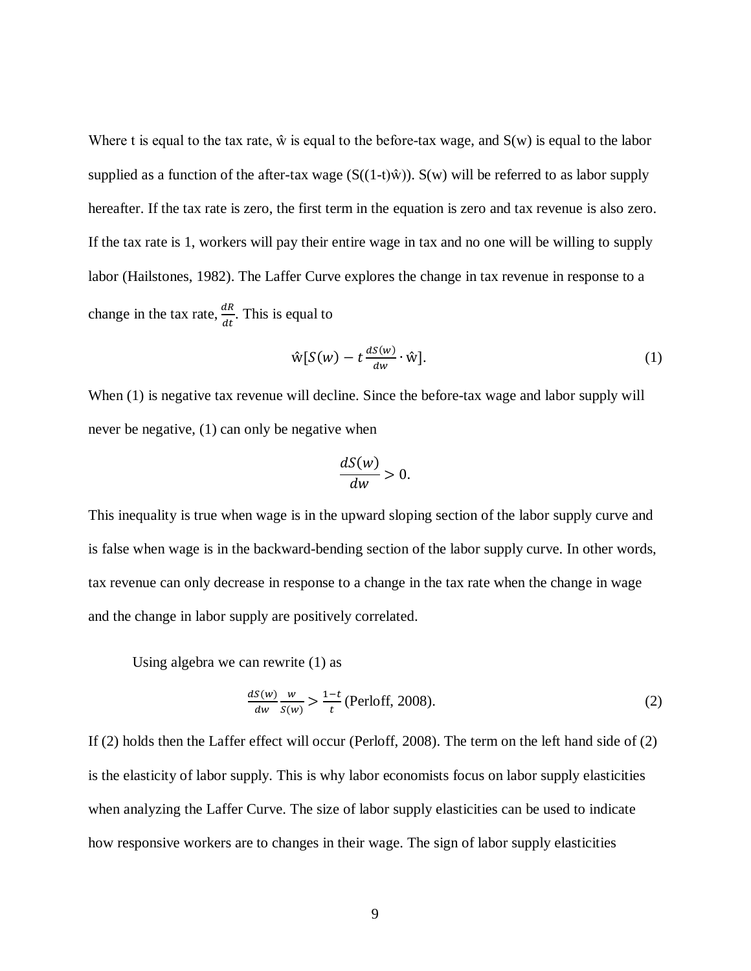Where t is equal to the tax rate,  $\hat{w}$  is equal to the before-tax wage, and  $S(w)$  is equal to the labor supplied as a function of the after-tax wage  $(S((1-t)\hat{w}))$ .  $S(w)$  will be referred to as labor supply hereafter. If the tax rate is zero, the first term in the equation is zero and tax revenue is also zero. If the tax rate is 1, workers will pay their entire wage in tax and no one will be willing to supply labor (Hailstones, 1982). The Laffer Curve explores the change in tax revenue in response to a change in the tax rate,  $\frac{dR}{dt}$ . This is equal to

$$
\hat{\mathbf{w}}[S(w) - t \frac{dS(w)}{dw} \cdot \hat{\mathbf{w}}]. \tag{1}
$$

When (1) is negative tax revenue will decline. Since the before-tax wage and labor supply will never be negative, (1) can only be negative when

$$
\frac{dS(w)}{dw} > 0.
$$

This inequality is true when wage is in the upward sloping section of the labor supply curve and is false when wage is in the backward-bending section of the labor supply curve. In other words, tax revenue can only decrease in response to a change in the tax rate when the change in wage and the change in labor supply are positively correlated.

Using algebra we can rewrite (1) as

$$
\frac{dS(w)}{dw} \frac{w}{S(w)} > \frac{1-t}{t} \text{ (Perloff, 2008).} \tag{2}
$$

If (2) holds then the Laffer effect will occur (Perloff, 2008). The term on the left hand side of (2) is the elasticity of labor supply. This is why labor economists focus on labor supply elasticities when analyzing the Laffer Curve. The size of labor supply elasticities can be used to indicate how responsive workers are to changes in their wage. The sign of labor supply elasticities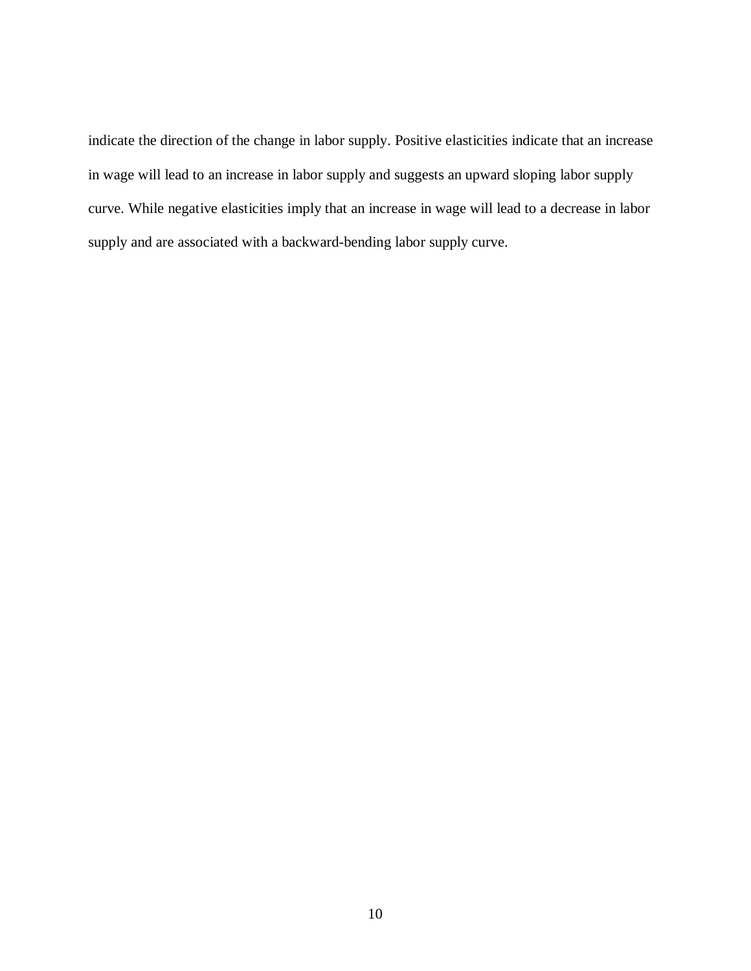indicate the direction of the change in labor supply. Positive elasticities indicate that an increase in wage will lead to an increase in labor supply and suggests an upward sloping labor supply curve. While negative elasticities imply that an increase in wage will lead to a decrease in labor supply and are associated with a backward-bending labor supply curve.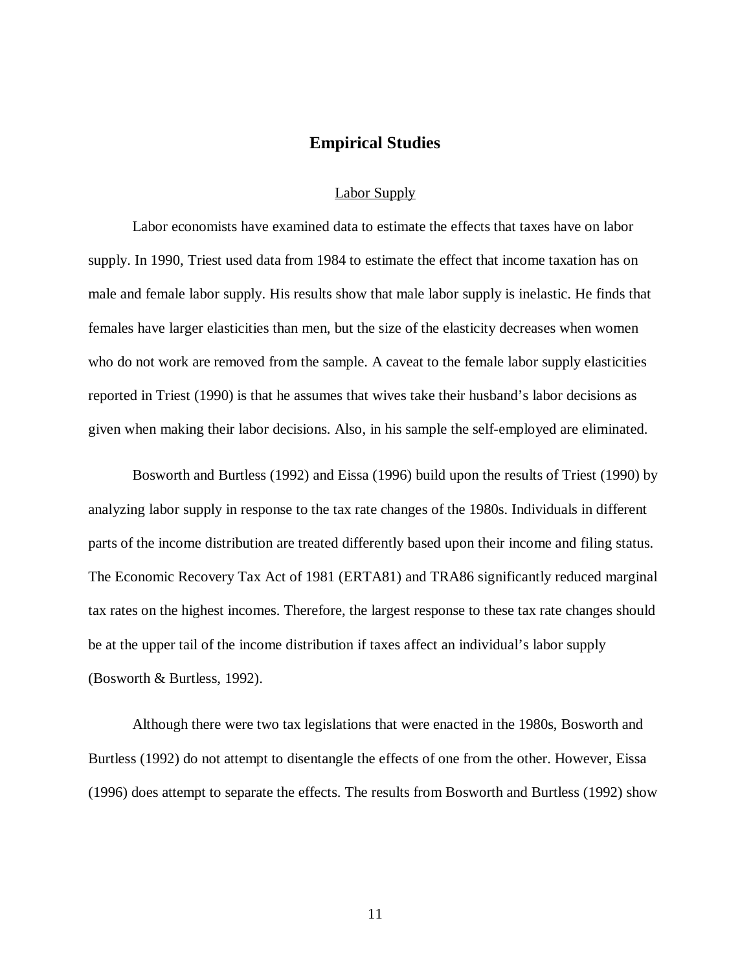#### **Empirical Studies**

#### Labor Supply

<span id="page-16-1"></span><span id="page-16-0"></span>Labor economists have examined data to estimate the effects that taxes have on labor supply. In 1990, Triest used data from 1984 to estimate the effect that income taxation has on male and female labor supply. His results show that male labor supply is inelastic. He finds that females have larger elasticities than men, but the size of the elasticity decreases when women who do not work are removed from the sample. A caveat to the female labor supply elasticities reported in Triest (1990) is that he assumes that wives take their husband's labor decisions as given when making their labor decisions. Also, in his sample the self-employed are eliminated.

Bosworth and Burtless (1992) and Eissa (1996) build upon the results of Triest (1990) by analyzing labor supply in response to the tax rate changes of the 1980s. Individuals in different parts of the income distribution are treated differently based upon their income and filing status. The Economic Recovery Tax Act of 1981 (ERTA81) and TRA86 significantly reduced marginal tax rates on the highest incomes. Therefore, the largest response to these tax rate changes should be at the upper tail of the income distribution if taxes affect an individual's labor supply (Bosworth & Burtless, 1992).

Although there were two tax legislations that were enacted in the 1980s, Bosworth and Burtless (1992) do not attempt to disentangle the effects of one from the other. However, Eissa (1996) does attempt to separate the effects. The results from Bosworth and Burtless (1992) show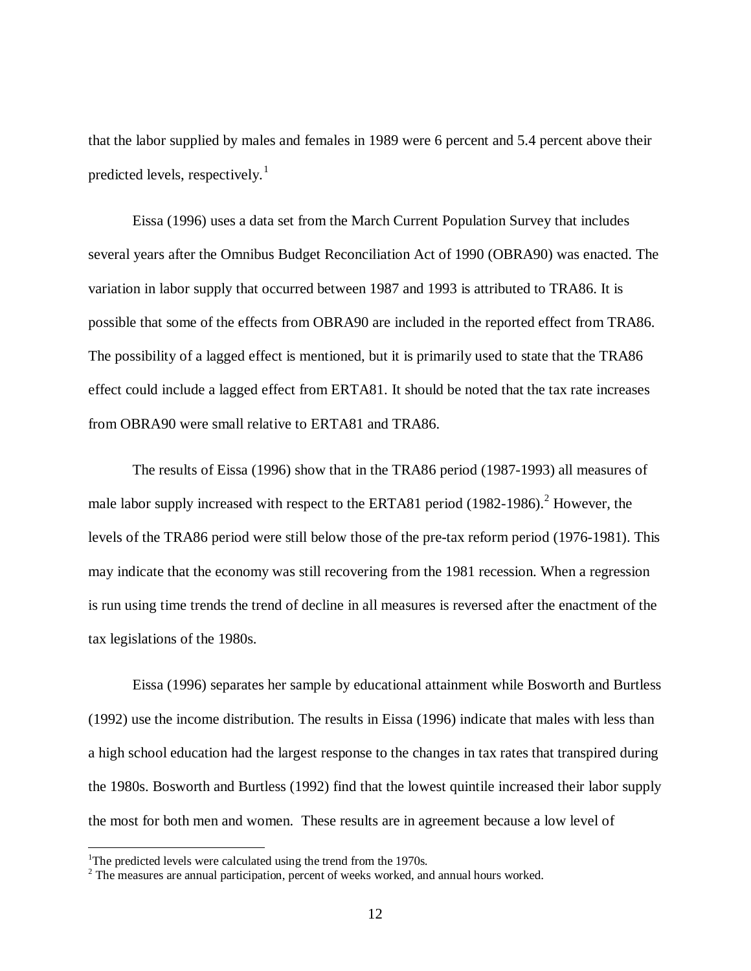that the labor supplied by males and females in 1989 were 6 percent and 5.4 percent above their predicted levels, respectively.<sup>[1](#page-17-0)</sup>

Eissa (1996) uses a data set from the March Current Population Survey that includes several years after the Omnibus Budget Reconciliation Act of 1990 (OBRA90) was enacted. The variation in labor supply that occurred between 1987 and 1993 is attributed to TRA86. It is possible that some of the effects from OBRA90 are included in the reported effect from TRA86. The possibility of a lagged effect is mentioned, but it is primarily used to state that the TRA86 effect could include a lagged effect from ERTA81. It should be noted that the tax rate increases from OBRA90 were small relative to ERTA81 and TRA86.

The results of Eissa (1996) show that in the TRA86 period (1987-1993) all measures of male labor supply increased with respect to the ERTA81 period  $(1982-1986)$  $(1982-1986)$  $(1982-1986)$ .<sup>2</sup> However, the levels of the TRA86 period were still below those of the pre-tax reform period (1976-1981). This may indicate that the economy was still recovering from the 1981 recession. When a regression is run using time trends the trend of decline in all measures is reversed after the enactment of the tax legislations of the 1980s.

Eissa (1996) separates her sample by educational attainment while Bosworth and Burtless (1992) use the income distribution. The results in Eissa (1996) indicate that males with less than a high school education had the largest response to the changes in tax rates that transpired during the 1980s. Bosworth and Burtless (1992) find that the lowest quintile increased their labor supply the most for both men and women. These results are in agreement because a low level of

 $\frac{1}{1}$ <sup>1</sup>The predicted levels were calculated using the trend from the 1970s.

<span id="page-17-1"></span><span id="page-17-0"></span><sup>&</sup>lt;sup>2</sup> The measures are annual participation, percent of weeks worked, and annual hours worked.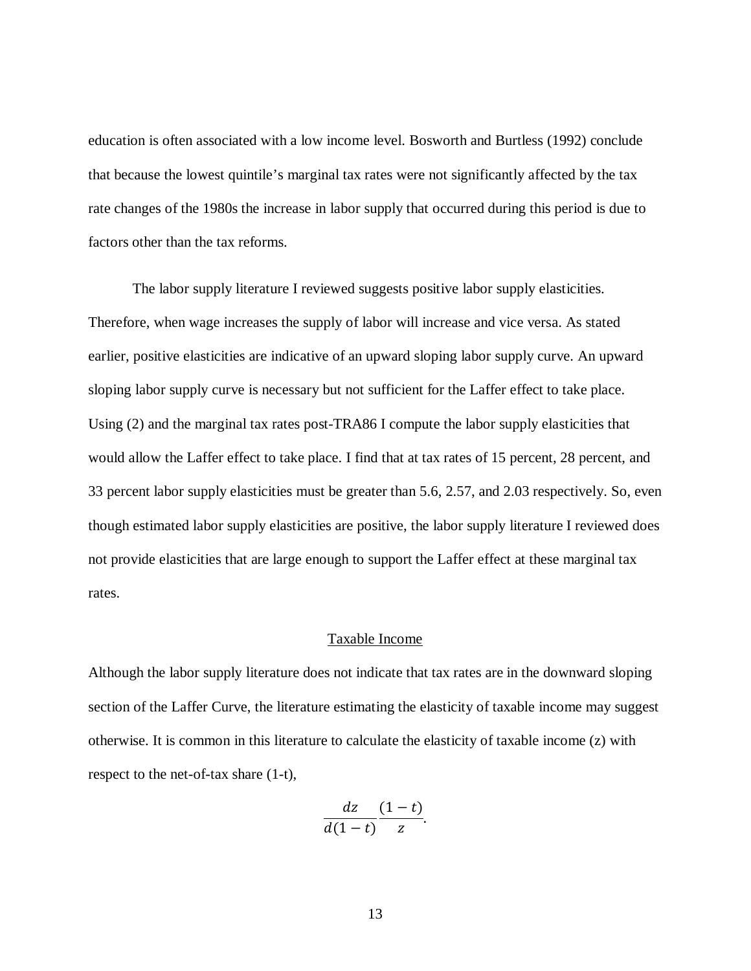education is often associated with a low income level. Bosworth and Burtless (1992) conclude that because the lowest quintile's marginal tax rates were not significantly affected by the tax rate changes of the 1980s the increase in labor supply that occurred during this period is due to factors other than the tax reforms.

The labor supply literature I reviewed suggests positive labor supply elasticities. Therefore, when wage increases the supply of labor will increase and vice versa. As stated earlier, positive elasticities are indicative of an upward sloping labor supply curve. An upward sloping labor supply curve is necessary but not sufficient for the Laffer effect to take place. Using (2) and the marginal tax rates post-TRA86 I compute the labor supply elasticities that would allow the Laffer effect to take place. I find that at tax rates of 15 percent, 28 percent, and 33 percent labor supply elasticities must be greater than 5.6, 2.57, and 2.03 respectively. So, even though estimated labor supply elasticities are positive, the labor supply literature I reviewed does not provide elasticities that are large enough to support the Laffer effect at these marginal tax rates.

#### Taxable Income

<span id="page-18-0"></span>Although the labor supply literature does not indicate that tax rates are in the downward sloping section of the Laffer Curve, the literature estimating the elasticity of taxable income may suggest otherwise. It is common in this literature to calculate the elasticity of taxable income (z) with respect to the net-of-tax share (1-t),

$$
\frac{dz}{d(1-t)}\frac{(1-t)}{z}.
$$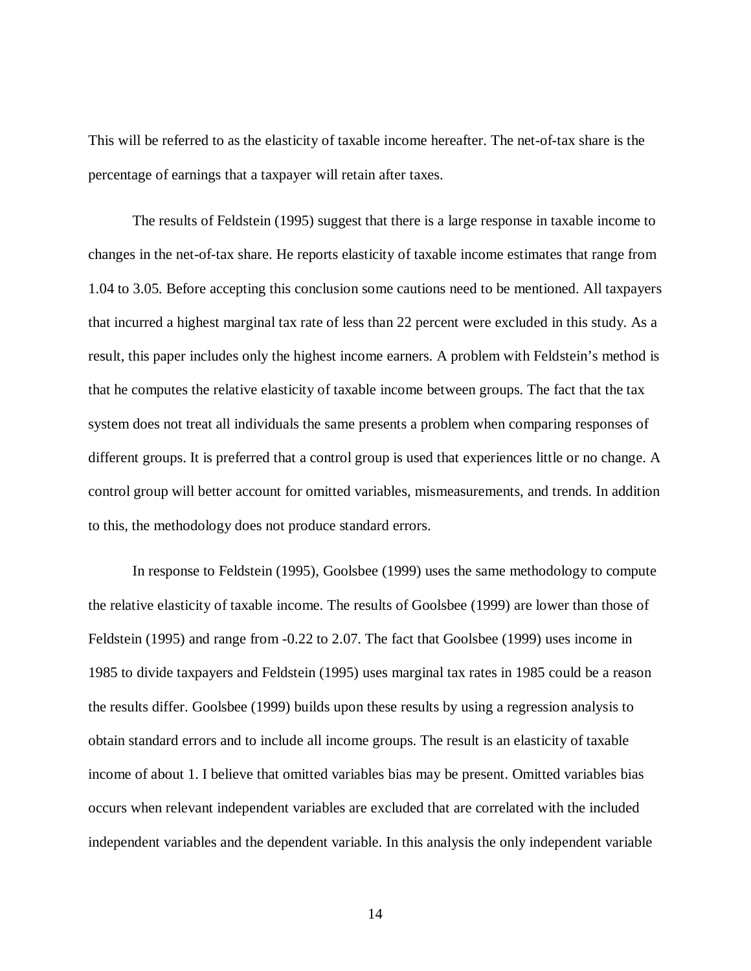This will be referred to as the elasticity of taxable income hereafter. The net-of-tax share is the percentage of earnings that a taxpayer will retain after taxes.

The results of Feldstein (1995) suggest that there is a large response in taxable income to changes in the net-of-tax share. He reports elasticity of taxable income estimates that range from 1.04 to 3.05. Before accepting this conclusion some cautions need to be mentioned. All taxpayers that incurred a highest marginal tax rate of less than 22 percent were excluded in this study. As a result, this paper includes only the highest income earners. A problem with Feldstein's method is that he computes the relative elasticity of taxable income between groups. The fact that the tax system does not treat all individuals the same presents a problem when comparing responses of different groups. It is preferred that a control group is used that experiences little or no change. A control group will better account for omitted variables, mismeasurements, and trends. In addition to this, the methodology does not produce standard errors.

In response to Feldstein (1995), Goolsbee (1999) uses the same methodology to compute the relative elasticity of taxable income. The results of Goolsbee (1999) are lower than those of Feldstein (1995) and range from -0.22 to 2.07. The fact that Goolsbee (1999) uses income in 1985 to divide taxpayers and Feldstein (1995) uses marginal tax rates in 1985 could be a reason the results differ. Goolsbee (1999) builds upon these results by using a regression analysis to obtain standard errors and to include all income groups. The result is an elasticity of taxable income of about 1. I believe that omitted variables bias may be present. Omitted variables bias occurs when relevant independent variables are excluded that are correlated with the included independent variables and the dependent variable. In this analysis the only independent variable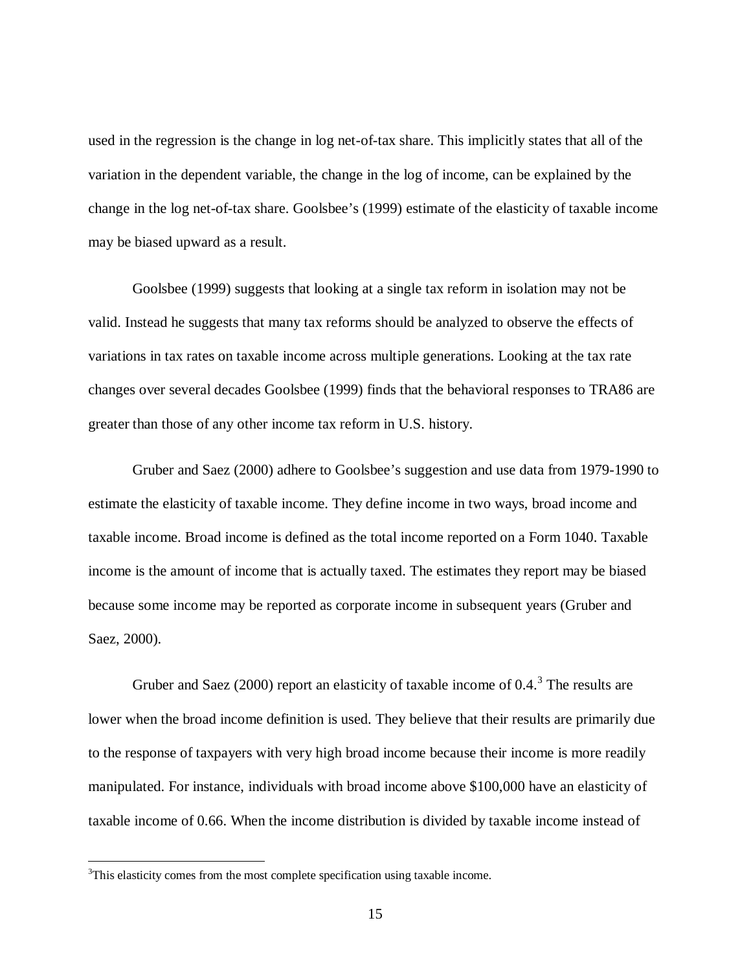used in the regression is the change in log net-of-tax share. This implicitly states that all of the variation in the dependent variable, the change in the log of income, can be explained by the change in the log net-of-tax share. Goolsbee's (1999) estimate of the elasticity of taxable income may be biased upward as a result.

Goolsbee (1999) suggests that looking at a single tax reform in isolation may not be valid. Instead he suggests that many tax reforms should be analyzed to observe the effects of variations in tax rates on taxable income across multiple generations. Looking at the tax rate changes over several decades Goolsbee (1999) finds that the behavioral responses to TRA86 are greater than those of any other income tax reform in U.S. history.

Gruber and Saez (2000) adhere to Goolsbee's suggestion and use data from 1979-1990 to estimate the elasticity of taxable income. They define income in two ways, broad income and taxable income. Broad income is defined as the total income reported on a Form 1040. Taxable income is the amount of income that is actually taxed. The estimates they report may be biased because some income may be reported as corporate income in subsequent years (Gruber and Saez, 2000).

Gruber and Saez (2000) report an elasticity of taxable income of  $0.4$ <sup>[3](#page-20-0)</sup>. The results are lower when the broad income definition is used. They believe that their results are primarily due to the response of taxpayers with very high broad income because their income is more readily manipulated. For instance, individuals with broad income above \$100,000 have an elasticity of taxable income of 0.66. When the income distribution is divided by taxable income instead of

<span id="page-20-0"></span><sup>&</sup>lt;sup>2</sup><br>3  $3$ This elasticity comes from the most complete specification using taxable income.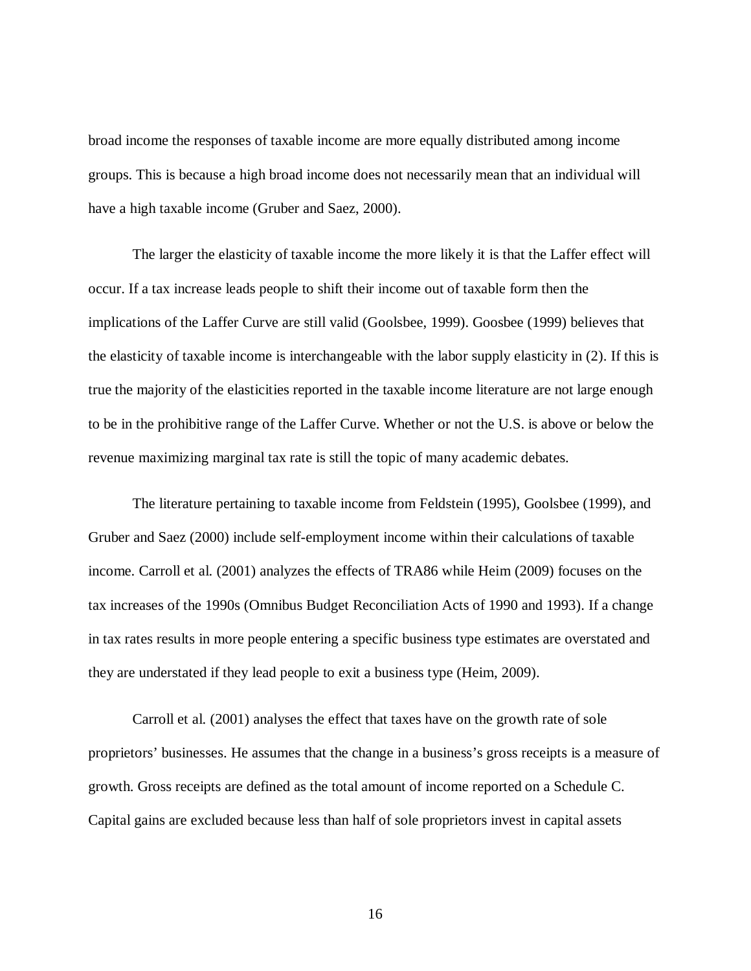broad income the responses of taxable income are more equally distributed among income groups. This is because a high broad income does not necessarily mean that an individual will have a high taxable income (Gruber and Saez, 2000).

The larger the elasticity of taxable income the more likely it is that the Laffer effect will occur. If a tax increase leads people to shift their income out of taxable form then the implications of the Laffer Curve are still valid (Goolsbee, 1999). Goosbee (1999) believes that the elasticity of taxable income is interchangeable with the labor supply elasticity in (2). If this is true the majority of the elasticities reported in the taxable income literature are not large enough to be in the prohibitive range of the Laffer Curve. Whether or not the U.S. is above or below the revenue maximizing marginal tax rate is still the topic of many academic debates.

The literature pertaining to taxable income from Feldstein (1995), Goolsbee (1999), and Gruber and Saez (2000) include self-employment income within their calculations of taxable income. Carroll et al. (2001) analyzes the effects of TRA86 while Heim (2009) focuses on the tax increases of the 1990s (Omnibus Budget Reconciliation Acts of 1990 and 1993). If a change in tax rates results in more people entering a specific business type estimates are overstated and they are understated if they lead people to exit a business type (Heim, 2009).

Carroll et al. (2001) analyses the effect that taxes have on the growth rate of sole proprietors' businesses. He assumes that the change in a business's gross receipts is a measure of growth. Gross receipts are defined as the total amount of income reported on a Schedule C. Capital gains are excluded because less than half of sole proprietors invest in capital assets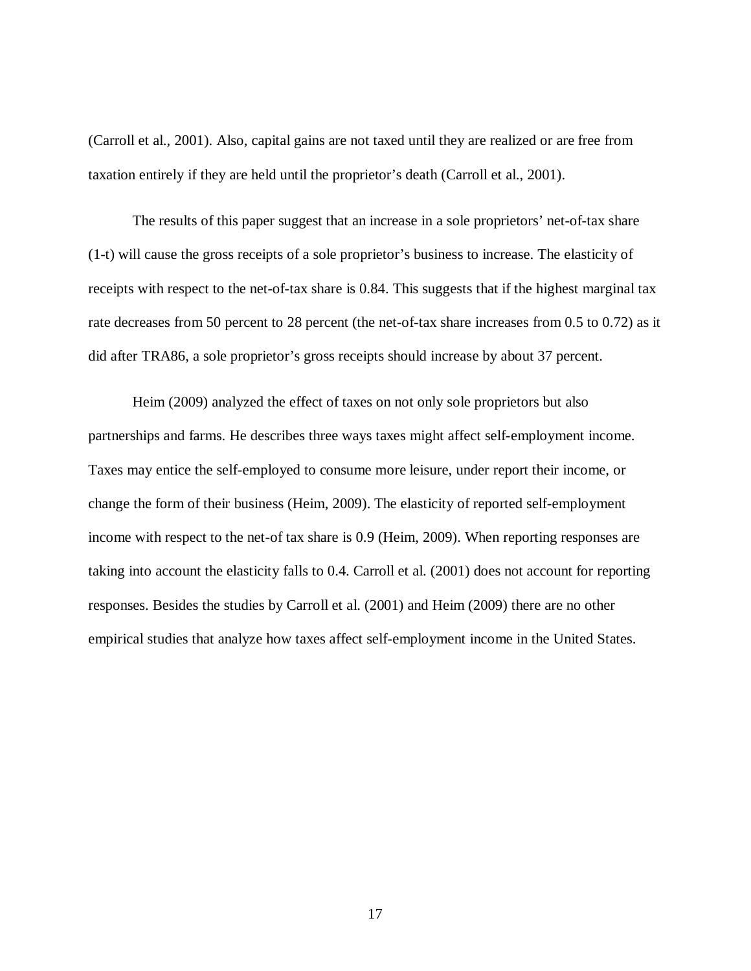(Carroll et al., 2001). Also, capital gains are not taxed until they are realized or are free from taxation entirely if they are held until the proprietor's death (Carroll et al., 2001).

The results of this paper suggest that an increase in a sole proprietors' net-of-tax share (1-t) will cause the gross receipts of a sole proprietor's business to increase. The elasticity of receipts with respect to the net-of-tax share is 0.84. This suggests that if the highest marginal tax rate decreases from 50 percent to 28 percent (the net-of-tax share increases from 0.5 to 0.72) as it did after TRA86, a sole proprietor's gross receipts should increase by about 37 percent.

Heim (2009) analyzed the effect of taxes on not only sole proprietors but also partnerships and farms. He describes three ways taxes might affect self-employment income. Taxes may entice the self-employed to consume more leisure, under report their income, or change the form of their business (Heim, 2009). The elasticity of reported self-employment income with respect to the net-of tax share is 0.9 (Heim, 2009). When reporting responses are taking into account the elasticity falls to 0.4. Carroll et al. (2001) does not account for reporting responses. Besides the studies by Carroll et al. (2001) and Heim (2009) there are no other empirical studies that analyze how taxes affect self-employment income in the United States.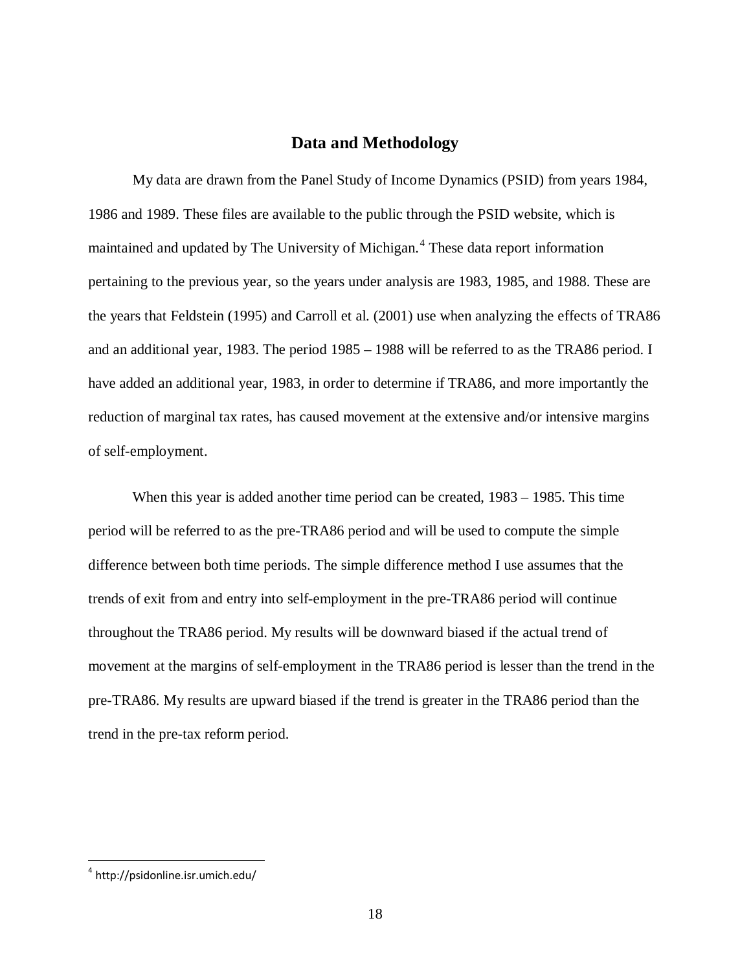#### **Data and Methodology**

<span id="page-23-0"></span>My data are drawn from the Panel Study of Income Dynamics (PSID) from years 1984, 1986 and 1989. These files are available to the public through the PSID website, which is maintained and updated by The University of Michigan.<sup>[4](#page-23-1)</sup> These data report information pertaining to the previous year, so the years under analysis are 1983, 1985, and 1988. These are the years that Feldstein (1995) and Carroll et al. (2001) use when analyzing the effects of TRA86 and an additional year, 1983. The period 1985 – 1988 will be referred to as the TRA86 period. I have added an additional year, 1983, in order to determine if TRA86, and more importantly the reduction of marginal tax rates, has caused movement at the extensive and/or intensive margins of self-employment.

When this year is added another time period can be created, 1983 – 1985. This time period will be referred to as the pre-TRA86 period and will be used to compute the simple difference between both time periods. The simple difference method I use assumes that the trends of exit from and entry into self-employment in the pre-TRA86 period will continue throughout the TRA86 period. My results will be downward biased if the actual trend of movement at the margins of self-employment in the TRA86 period is lesser than the trend in the pre-TRA86. My results are upward biased if the trend is greater in the TRA86 period than the trend in the pre-tax reform period.

<span id="page-23-1"></span><sup>4</sup> http://psidonline.isr.umich.edu/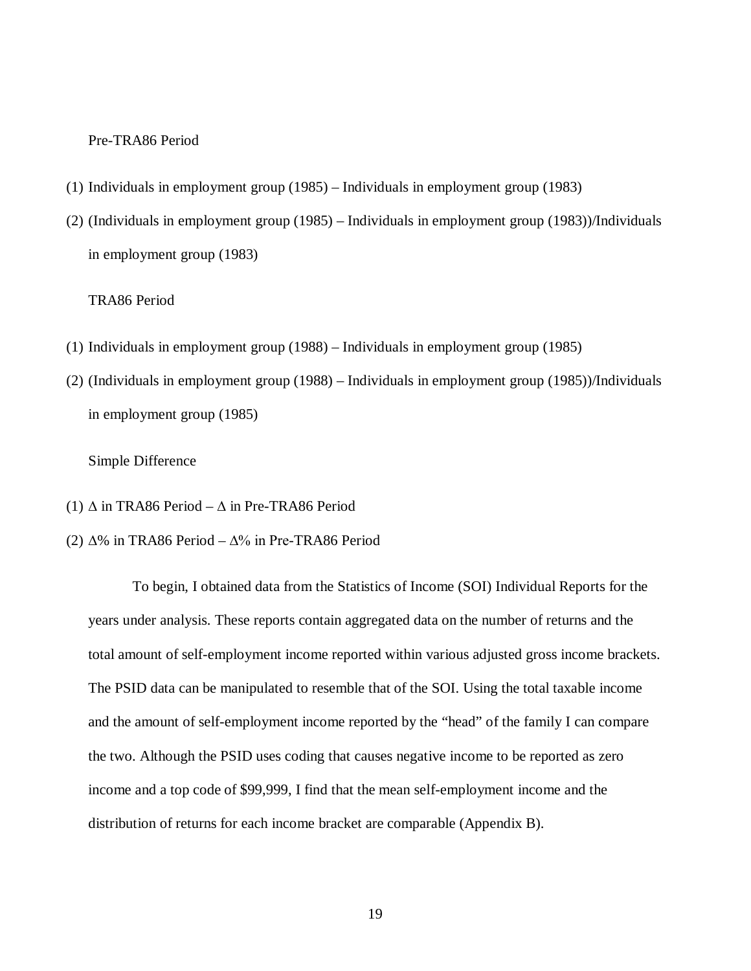#### Pre-TRA86 Period

- (1) Individuals in employment group (1985) Individuals in employment group (1983)
- (2) (Individuals in employment group (1985) Individuals in employment group (1983))/Individuals in employment group (1983)

#### TRA86 Period

- (1) Individuals in employment group (1988) Individuals in employment group (1985)
- (2) (Individuals in employment group (1988) Individuals in employment group (1985))/Individuals in employment group (1985)

#### Simple Difference

- (1)  $\Delta$  in TRA86 Period  $\Delta$  in Pre-TRA86 Period
- (2) ∆% in TRA86 Period ∆% in Pre-TRA86 Period

To begin, I obtained data from the Statistics of Income (SOI) Individual Reports for the years under analysis. These reports contain aggregated data on the number of returns and the total amount of self-employment income reported within various adjusted gross income brackets. The PSID data can be manipulated to resemble that of the SOI. Using the total taxable income and the amount of self-employment income reported by the "head" of the family I can compare the two. Although the PSID uses coding that causes negative income to be reported as zero income and a top code of \$99,999, I find that the mean self-employment income and the distribution of returns for each income bracket are comparable (Appendix B).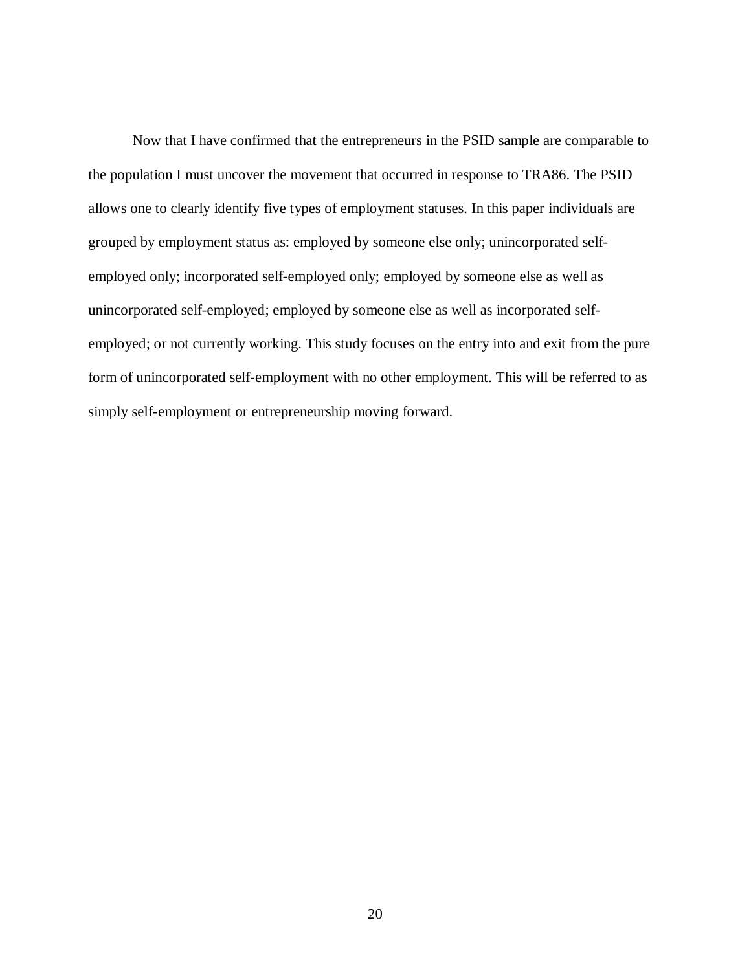Now that I have confirmed that the entrepreneurs in the PSID sample are comparable to the population I must uncover the movement that occurred in response to TRA86. The PSID allows one to clearly identify five types of employment statuses. In this paper individuals are grouped by employment status as: employed by someone else only; unincorporated selfemployed only; incorporated self-employed only; employed by someone else as well as unincorporated self-employed; employed by someone else as well as incorporated selfemployed; or not currently working. This study focuses on the entry into and exit from the pure form of unincorporated self-employment with no other employment. This will be referred to as simply self-employment or entrepreneurship moving forward.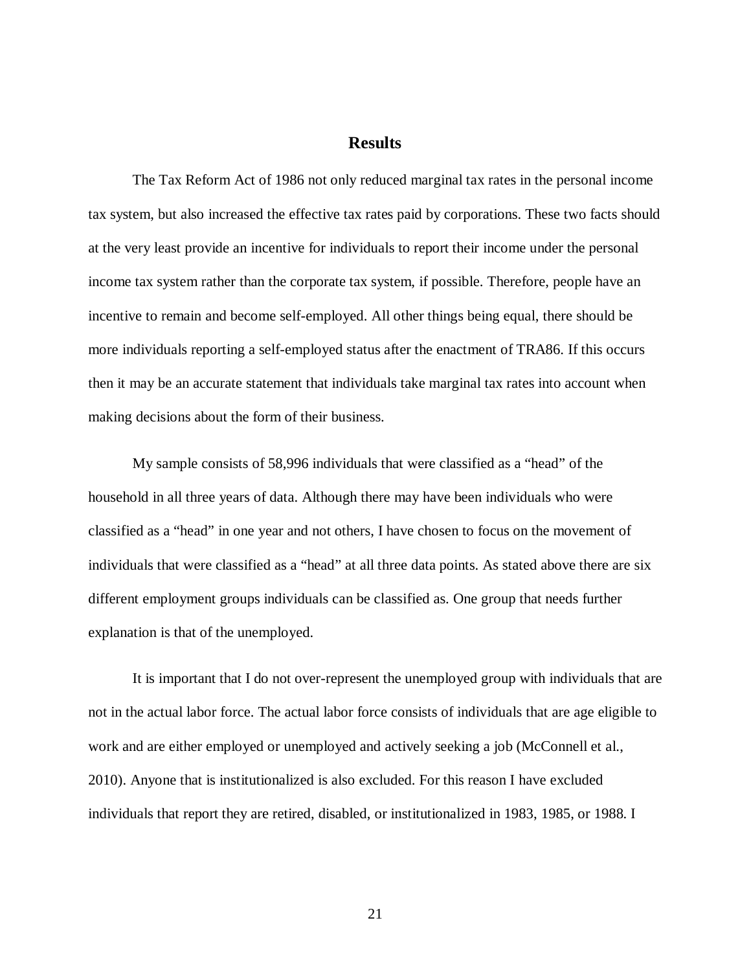#### **Results**

<span id="page-26-0"></span>The Tax Reform Act of 1986 not only reduced marginal tax rates in the personal income tax system, but also increased the effective tax rates paid by corporations. These two facts should at the very least provide an incentive for individuals to report their income under the personal income tax system rather than the corporate tax system, if possible. Therefore, people have an incentive to remain and become self-employed. All other things being equal, there should be more individuals reporting a self-employed status after the enactment of TRA86. If this occurs then it may be an accurate statement that individuals take marginal tax rates into account when making decisions about the form of their business.

My sample consists of 58,996 individuals that were classified as a "head" of the household in all three years of data. Although there may have been individuals who were classified as a "head" in one year and not others, I have chosen to focus on the movement of individuals that were classified as a "head" at all three data points. As stated above there are six different employment groups individuals can be classified as. One group that needs further explanation is that of the unemployed.

It is important that I do not over-represent the unemployed group with individuals that are not in the actual labor force. The actual labor force consists of individuals that are age eligible to work and are either employed or unemployed and actively seeking a job (McConnell et al., 2010). Anyone that is institutionalized is also excluded. For this reason I have excluded individuals that report they are retired, disabled, or institutionalized in 1983, 1985, or 1988. I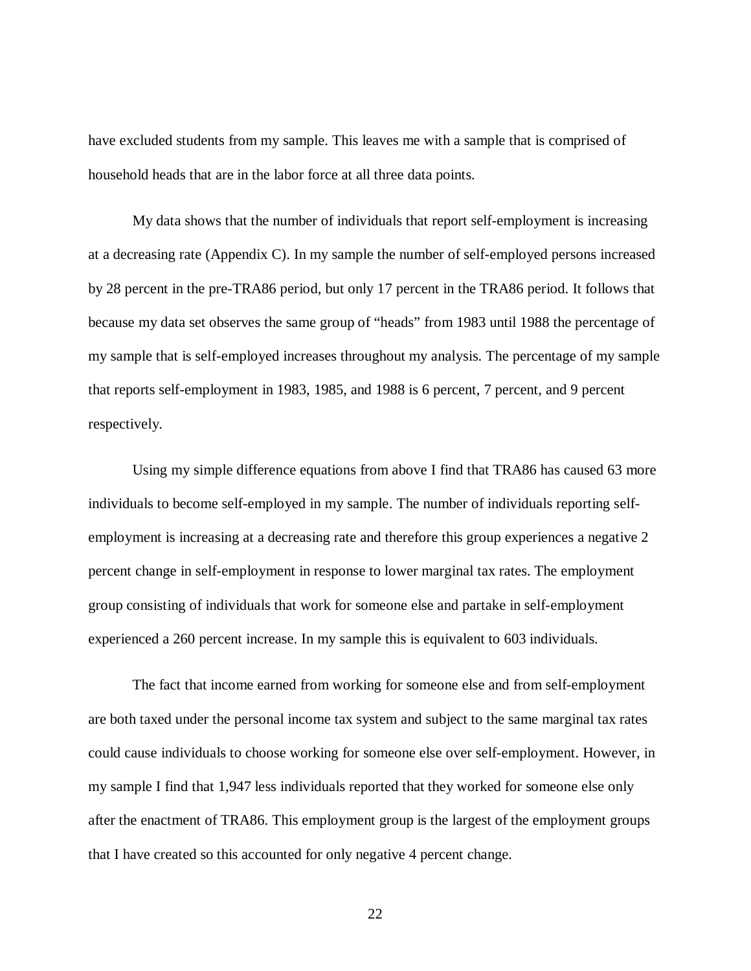have excluded students from my sample. This leaves me with a sample that is comprised of household heads that are in the labor force at all three data points.

My data shows that the number of individuals that report self-employment is increasing at a decreasing rate (Appendix C). In my sample the number of self-employed persons increased by 28 percent in the pre-TRA86 period, but only 17 percent in the TRA86 period. It follows that because my data set observes the same group of "heads" from 1983 until 1988 the percentage of my sample that is self-employed increases throughout my analysis. The percentage of my sample that reports self-employment in 1983, 1985, and 1988 is 6 percent, 7 percent, and 9 percent respectively.

Using my simple difference equations from above I find that TRA86 has caused 63 more individuals to become self-employed in my sample. The number of individuals reporting selfemployment is increasing at a decreasing rate and therefore this group experiences a negative 2 percent change in self-employment in response to lower marginal tax rates. The employment group consisting of individuals that work for someone else and partake in self-employment experienced a 260 percent increase. In my sample this is equivalent to 603 individuals.

The fact that income earned from working for someone else and from self-employment are both taxed under the personal income tax system and subject to the same marginal tax rates could cause individuals to choose working for someone else over self-employment. However, in my sample I find that 1,947 less individuals reported that they worked for someone else only after the enactment of TRA86. This employment group is the largest of the employment groups that I have created so this accounted for only negative 4 percent change.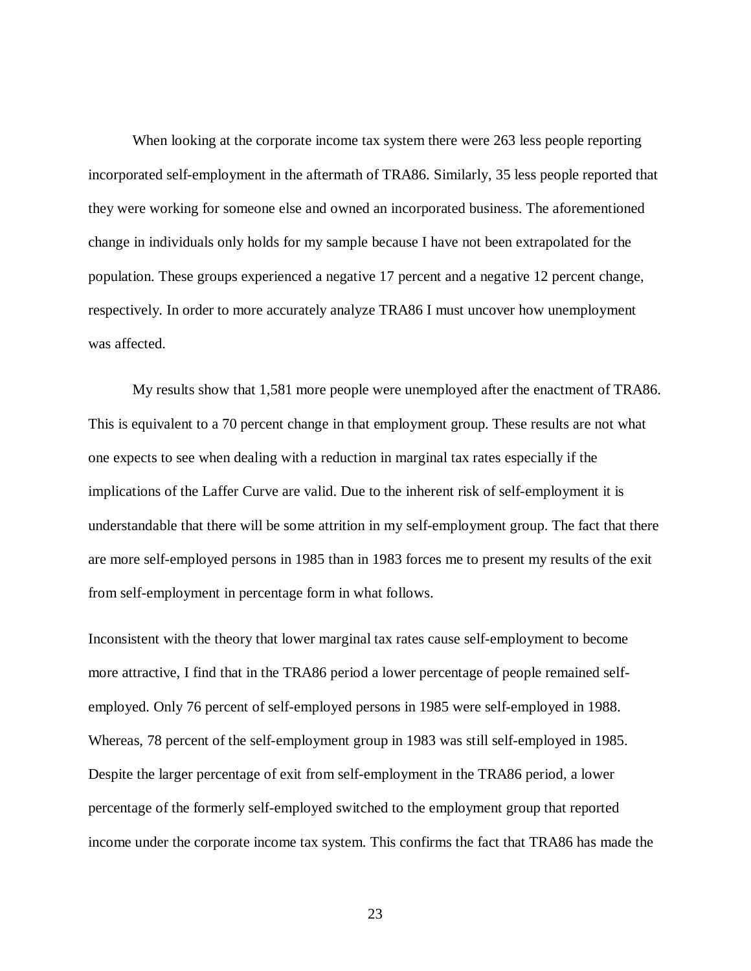When looking at the corporate income tax system there were 263 less people reporting incorporated self-employment in the aftermath of TRA86. Similarly, 35 less people reported that they were working for someone else and owned an incorporated business. The aforementioned change in individuals only holds for my sample because I have not been extrapolated for the population. These groups experienced a negative 17 percent and a negative 12 percent change, respectively. In order to more accurately analyze TRA86 I must uncover how unemployment was affected.

My results show that 1,581 more people were unemployed after the enactment of TRA86. This is equivalent to a 70 percent change in that employment group. These results are not what one expects to see when dealing with a reduction in marginal tax rates especially if the implications of the Laffer Curve are valid. Due to the inherent risk of self-employment it is understandable that there will be some attrition in my self-employment group. The fact that there are more self-employed persons in 1985 than in 1983 forces me to present my results of the exit from self-employment in percentage form in what follows.

Inconsistent with the theory that lower marginal tax rates cause self-employment to become more attractive, I find that in the TRA86 period a lower percentage of people remained selfemployed. Only 76 percent of self-employed persons in 1985 were self-employed in 1988. Whereas, 78 percent of the self-employment group in 1983 was still self-employed in 1985. Despite the larger percentage of exit from self-employment in the TRA86 period, a lower percentage of the formerly self-employed switched to the employment group that reported income under the corporate income tax system. This confirms the fact that TRA86 has made the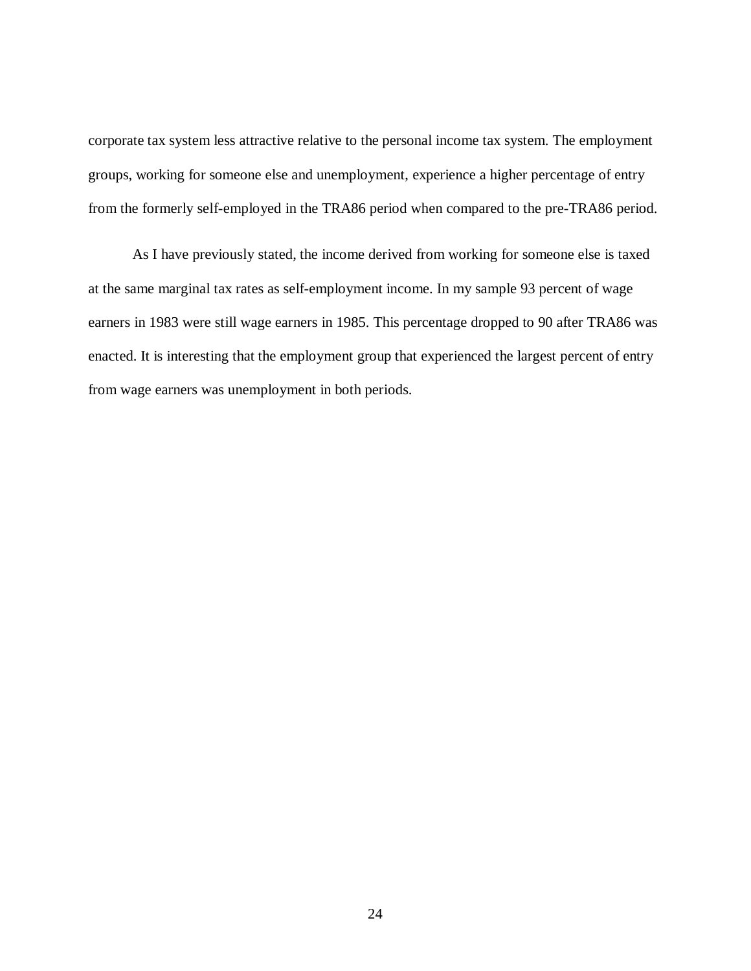corporate tax system less attractive relative to the personal income tax system. The employment groups, working for someone else and unemployment, experience a higher percentage of entry from the formerly self-employed in the TRA86 period when compared to the pre-TRA86 period.

As I have previously stated, the income derived from working for someone else is taxed at the same marginal tax rates as self-employment income. In my sample 93 percent of wage earners in 1983 were still wage earners in 1985. This percentage dropped to 90 after TRA86 was enacted. It is interesting that the employment group that experienced the largest percent of entry from wage earners was unemployment in both periods.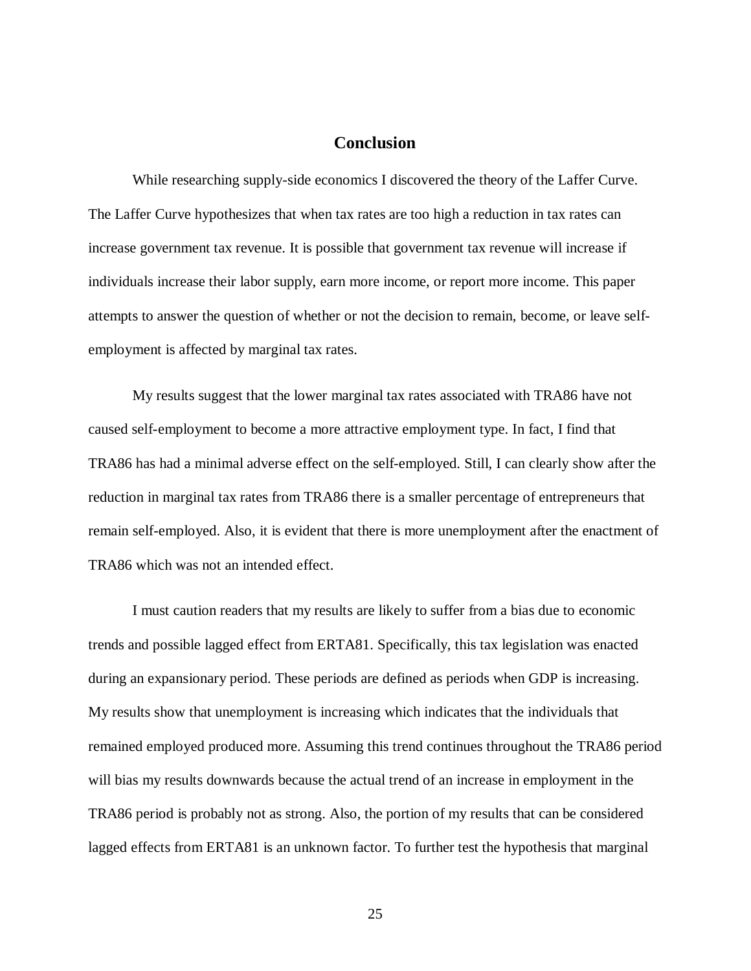#### **Conclusion**

<span id="page-30-0"></span>While researching supply-side economics I discovered the theory of the Laffer Curve. The Laffer Curve hypothesizes that when tax rates are too high a reduction in tax rates can increase government tax revenue. It is possible that government tax revenue will increase if individuals increase their labor supply, earn more income, or report more income. This paper attempts to answer the question of whether or not the decision to remain, become, or leave selfemployment is affected by marginal tax rates.

My results suggest that the lower marginal tax rates associated with TRA86 have not caused self-employment to become a more attractive employment type. In fact, I find that TRA86 has had a minimal adverse effect on the self-employed. Still, I can clearly show after the reduction in marginal tax rates from TRA86 there is a smaller percentage of entrepreneurs that remain self-employed. Also, it is evident that there is more unemployment after the enactment of TRA86 which was not an intended effect.

I must caution readers that my results are likely to suffer from a bias due to economic trends and possible lagged effect from ERTA81. Specifically, this tax legislation was enacted during an expansionary period. These periods are defined as periods when GDP is increasing. My results show that unemployment is increasing which indicates that the individuals that remained employed produced more. Assuming this trend continues throughout the TRA86 period will bias my results downwards because the actual trend of an increase in employment in the TRA86 period is probably not as strong. Also, the portion of my results that can be considered lagged effects from ERTA81 is an unknown factor. To further test the hypothesis that marginal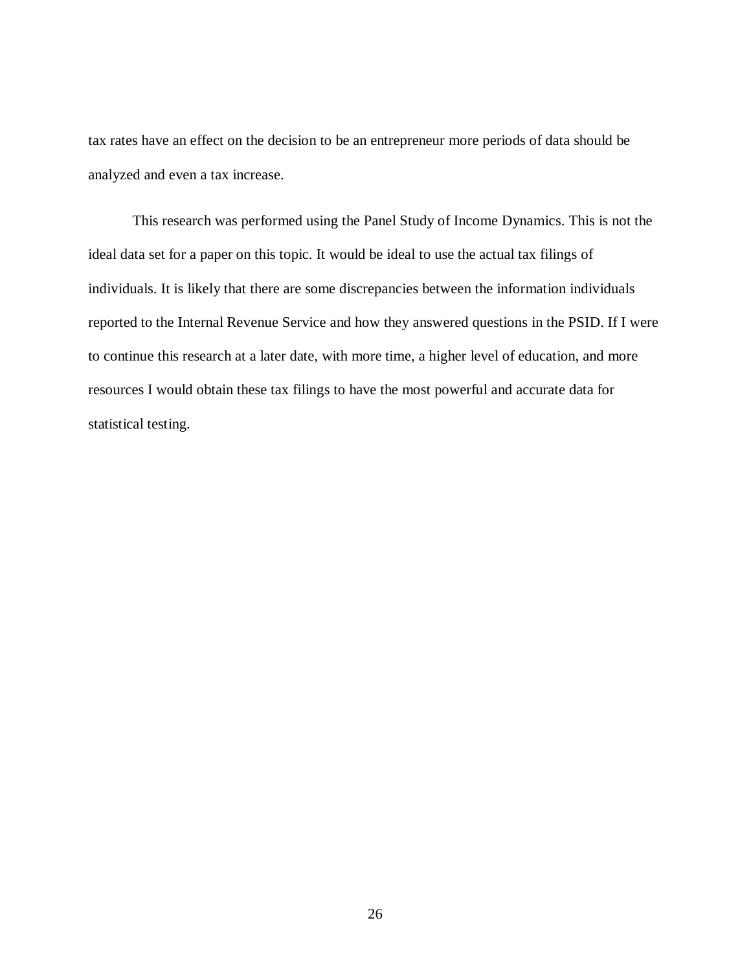tax rates have an effect on the decision to be an entrepreneur more periods of data should be analyzed and even a tax increase.

This research was performed using the Panel Study of Income Dynamics. This is not the ideal data set for a paper on this topic. It would be ideal to use the actual tax filings of individuals. It is likely that there are some discrepancies between the information individuals reported to the Internal Revenue Service and how they answered questions in the PSID. If I were to continue this research at a later date, with more time, a higher level of education, and more resources I would obtain these tax filings to have the most powerful and accurate data for statistical testing.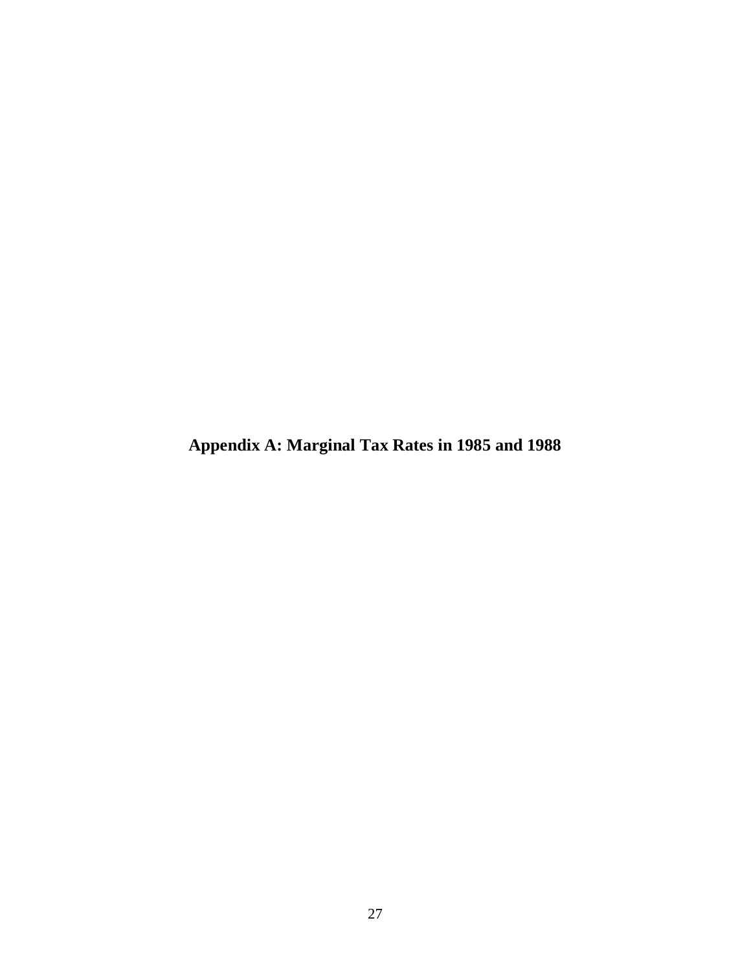<span id="page-32-0"></span>**Appendix A: Marginal Tax Rates in 1985 and 1988**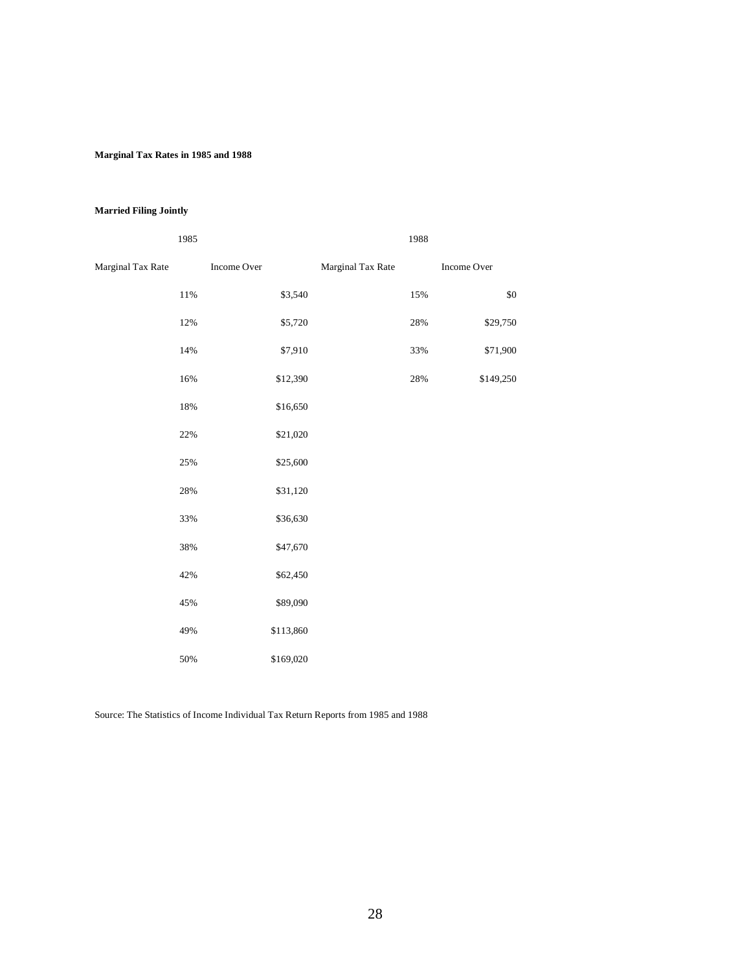#### **Marginal Tax Rates in 1985 and 1988**

#### **Married Filing Jointly**

|                   | 1985   |             |           |                   | 1988 |             |
|-------------------|--------|-------------|-----------|-------------------|------|-------------|
| Marginal Tax Rate |        | Income Over |           | Marginal Tax Rate |      | Income Over |
|                   | $11\%$ |             | \$3,540   |                   | 15%  | $\$0$       |
|                   | 12%    |             | \$5,720   |                   | 28%  | \$29,750    |
|                   | 14%    |             | \$7,910   |                   | 33%  | \$71,900    |
|                   | 16%    |             | \$12,390  |                   | 28%  | \$149,250   |
|                   | 18%    |             | \$16,650  |                   |      |             |
|                   | 22%    |             | \$21,020  |                   |      |             |
|                   | 25%    |             | \$25,600  |                   |      |             |
|                   | 28%    |             | \$31,120  |                   |      |             |
|                   | 33%    |             | \$36,630  |                   |      |             |
|                   | 38%    |             | \$47,670  |                   |      |             |
|                   | 42%    |             | \$62,450  |                   |      |             |
|                   | 45%    |             | \$89,090  |                   |      |             |
|                   | 49%    |             | \$113,860 |                   |      |             |
|                   | 50%    |             | \$169,020 |                   |      |             |

Source: The Statistics of Income Individual Tax Return Reports from 1985 and 1988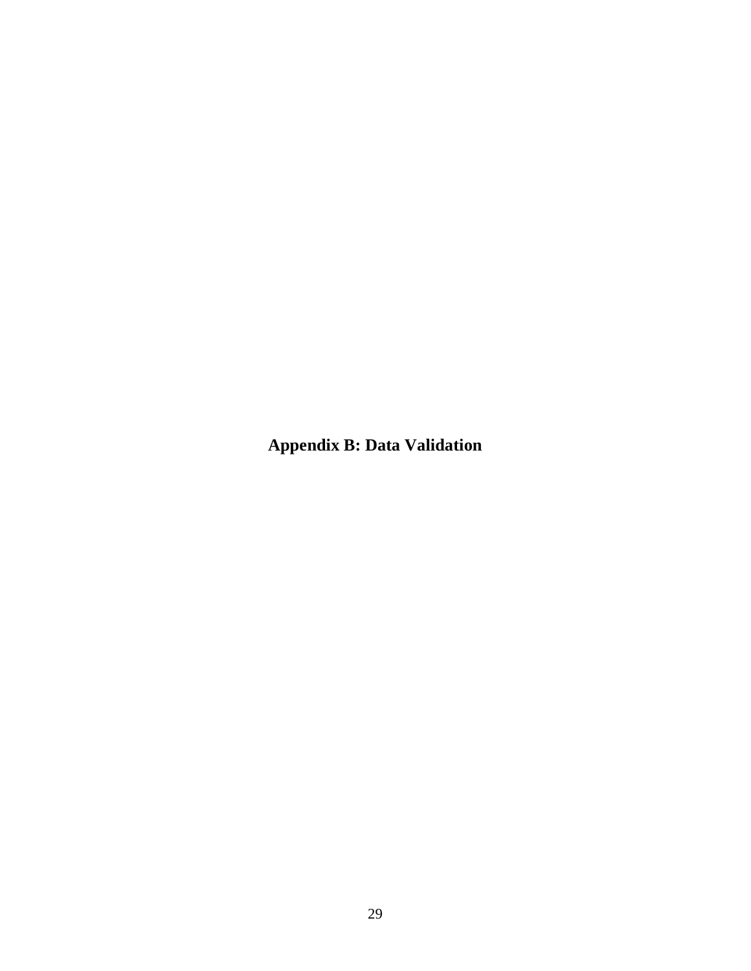<span id="page-34-0"></span>**Appendix B: Data Validation**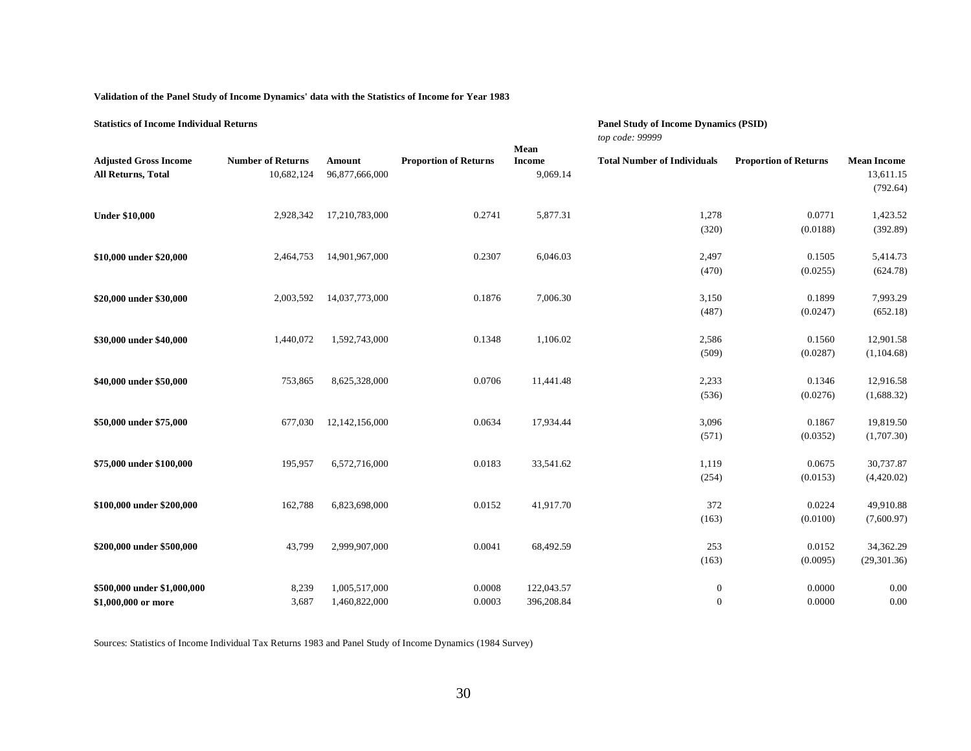| Validation of the Panel Study of Income Dynamics' data with the Statistics of Income for Year 1983 |  |  |
|----------------------------------------------------------------------------------------------------|--|--|
|                                                                                                    |  |  |

| <b>Statistics of Income Individual Returns</b>     |                                        |                                |                              |                                   | <b>Panel Study of Income Dynamics (PSID)</b><br>top code: 99999 |                              |                                             |  |
|----------------------------------------------------|----------------------------------------|--------------------------------|------------------------------|-----------------------------------|-----------------------------------------------------------------|------------------------------|---------------------------------------------|--|
| <b>Adjusted Gross Income</b><br>All Returns, Total | <b>Number of Returns</b><br>10,682,124 | Amount<br>96,877,666,000       | <b>Proportion of Returns</b> | Mean<br><b>Income</b><br>9,069.14 | <b>Total Number of Individuals</b>                              | <b>Proportion of Returns</b> | <b>Mean Income</b><br>13,611.15<br>(792.64) |  |
| <b>Under \$10,000</b>                              | 2,928,342                              | 17,210,783,000                 | 0.2741                       | 5,877.31                          | 1,278<br>(320)                                                  | 0.0771<br>(0.0188)           | 1,423.52<br>(392.89)                        |  |
| \$10,000 under \$20,000                            | 2,464,753                              | 14,901,967,000                 | 0.2307                       | 6,046.03                          | 2,497<br>(470)                                                  | 0.1505<br>(0.0255)           | 5,414.73<br>(624.78)                        |  |
| \$20,000 under \$30,000                            | 2,003,592                              | 14,037,773,000                 | 0.1876                       | 7,006.30                          | 3,150<br>(487)                                                  | 0.1899<br>(0.0247)           | 7,993.29<br>(652.18)                        |  |
| \$30,000 under \$40,000                            | 1,440,072                              | 1,592,743,000                  | 0.1348                       | 1,106.02                          | 2,586<br>(509)                                                  | 0.1560<br>(0.0287)           | 12,901.58<br>(1,104.68)                     |  |
| \$40,000 under \$50,000                            | 753,865                                | 8,625,328,000                  | 0.0706                       | 11,441.48                         | 2,233<br>(536)                                                  | 0.1346<br>(0.0276)           | 12,916.58<br>(1,688.32)                     |  |
| \$50,000 under \$75,000                            | 677,030                                | 12,142,156,000                 | 0.0634                       | 17,934.44                         | 3,096<br>(571)                                                  | 0.1867<br>(0.0352)           | 19,819.50<br>(1,707.30)                     |  |
| \$75,000 under \$100,000                           | 195,957                                | 6,572,716,000                  | 0.0183                       | 33,541.62                         | 1,119<br>(254)                                                  | 0.0675<br>(0.0153)           | 30,737.87<br>(4,420.02)                     |  |
| \$100,000 under \$200,000                          | 162,788                                | 6,823,698,000                  | 0.0152                       | 41,917.70                         | 372<br>(163)                                                    | 0.0224<br>(0.0100)           | 49,910.88<br>(7,600.97)                     |  |
| \$200,000 under \$500,000                          | 43,799                                 | 2,999,907,000                  | 0.0041                       | 68,492.59                         | 253<br>(163)                                                    | 0.0152<br>(0.0095)           | 34,362.29<br>(29, 301.36)                   |  |
| \$500,000 under \$1,000,000<br>\$1,000,000 or more | 8,239<br>3,687                         | 1,005,517,000<br>1,460,822,000 | 0.0008<br>0.0003             | 122,043.57<br>396,208.84          | $\mathbf{0}$<br>$\theta$                                        | 0.0000<br>0.0000             | 0.00<br>0.00                                |  |

Sources: Statistics of Income Individual Tax Returns 1983 and Panel Study of Income Dynamics (1984 Survey)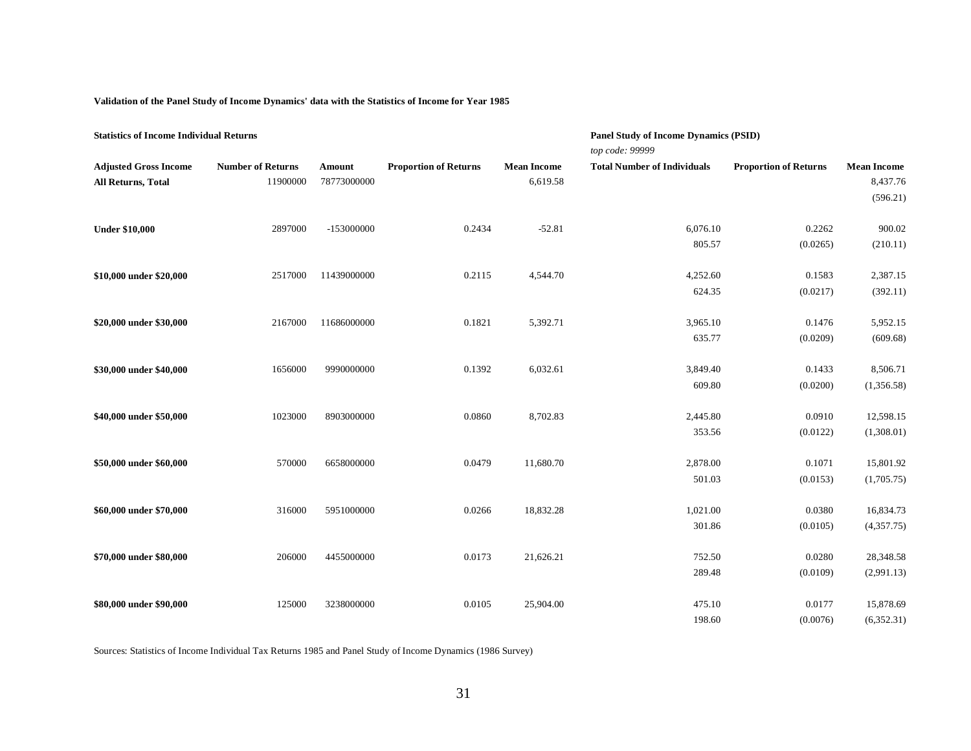**Validation of the Panel Study of Income Dynamics' data with the Statistics of Income for Year 1985**

| <b>Statistics of Income Individual Returns</b> |                          |             |                              |                    | <b>Panel Study of Income Dynamics (PSID)</b> |                              |                    |
|------------------------------------------------|--------------------------|-------------|------------------------------|--------------------|----------------------------------------------|------------------------------|--------------------|
|                                                |                          |             |                              |                    | top code: 99999                              |                              |                    |
| <b>Adjusted Gross Income</b>                   | <b>Number of Returns</b> | Amount      | <b>Proportion of Returns</b> | <b>Mean Income</b> | <b>Total Number of Individuals</b>           | <b>Proportion of Returns</b> | <b>Mean Income</b> |
| All Returns, Total                             | 11900000                 | 78773000000 |                              | 6,619.58           |                                              |                              | 8,437.76           |
|                                                |                          |             |                              |                    |                                              |                              | (596.21)           |
|                                                |                          |             |                              |                    |                                              |                              |                    |
| <b>Under \$10,000</b>                          | 2897000                  | -153000000  | 0.2434                       | $-52.81$           | 6,076.10                                     | 0.2262                       | 900.02             |
|                                                |                          |             |                              |                    | 805.57                                       | (0.0265)                     | (210.11)           |
|                                                |                          |             |                              |                    |                                              |                              |                    |
| \$10,000 under \$20,000                        | 2517000                  | 11439000000 | 0.2115                       | 4,544.70           | 4,252.60                                     | 0.1583                       | 2,387.15           |
|                                                |                          |             |                              |                    | 624.35                                       | (0.0217)                     | (392.11)           |
|                                                |                          |             |                              |                    |                                              |                              |                    |
| \$20,000 under \$30,000                        | 2167000                  | 11686000000 | 0.1821                       | 5,392.71           | 3,965.10                                     | 0.1476                       | 5,952.15           |
|                                                |                          |             |                              |                    | 635.77                                       | (0.0209)                     | (609.68)           |
|                                                |                          |             |                              |                    |                                              |                              |                    |
| \$30,000 under \$40,000                        | 1656000                  | 9990000000  | 0.1392                       | 6,032.61           | 3,849.40                                     | 0.1433                       | 8,506.71           |
|                                                |                          |             |                              |                    | 609.80                                       | (0.0200)                     | (1,356.58)         |
|                                                |                          |             |                              |                    |                                              |                              |                    |
| \$40,000 under \$50,000                        | 1023000                  | 8903000000  | 0.0860                       | 8,702.83           | 2,445.80                                     | 0.0910                       | 12,598.15          |
|                                                |                          |             |                              |                    | 353.56                                       | (0.0122)                     | (1,308.01)         |
|                                                |                          |             |                              |                    |                                              |                              |                    |
| \$50,000 under \$60,000                        | 570000                   | 6658000000  | 0.0479                       | 11,680.70          | 2,878.00                                     | 0.1071                       | 15,801.92          |
|                                                |                          |             |                              |                    | 501.03                                       | (0.0153)                     | (1,705.75)         |
|                                                |                          |             |                              |                    |                                              |                              |                    |
| \$60,000 under \$70,000                        | 316000                   | 5951000000  | 0.0266                       | 18,832.28          | 1,021.00                                     | 0.0380                       | 16,834.73          |
|                                                |                          |             |                              |                    | 301.86                                       | (0.0105)                     | (4,357.75)         |
| \$70,000 under \$80,000                        | 206000                   | 4455000000  | 0.0173                       | 21,626.21          | 752.50                                       | 0.0280                       | 28,348.58          |
|                                                |                          |             |                              |                    | 289.48                                       |                              |                    |
|                                                |                          |             |                              |                    |                                              | (0.0109)                     | (2,991.13)         |
| \$80,000 under \$90,000                        | 125000                   | 3238000000  | 0.0105                       | 25,904.00          | 475.10                                       | 0.0177                       | 15,878.69          |
|                                                |                          |             |                              |                    | 198.60                                       | (0.0076)                     | (6,352.31)         |

Sources: Statistics of Income Individual Tax Returns 1985 and Panel Study of Income Dynamics (1986 Survey)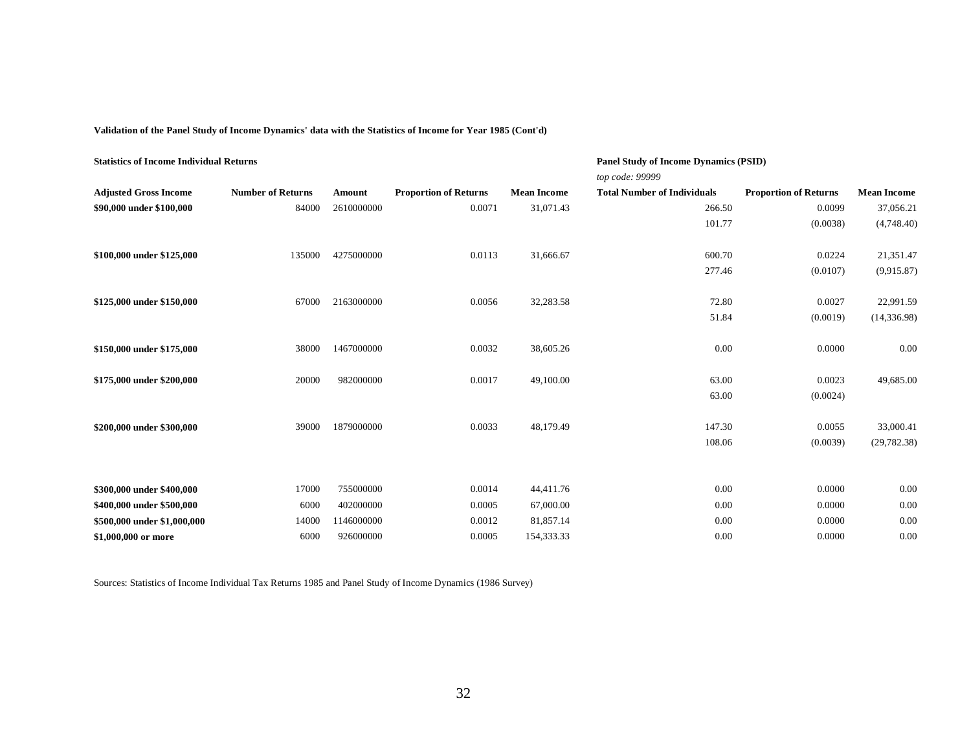**Validation of the Panel Study of Income Dynamics' data with the Statistics of Income for Year 1985 (Cont'd)**

| <b>Statistics of Income Individual Returns</b> |                          |            |                              |                    | <b>Panel Study of Income Dynamics (PSID)</b><br>top code: 99999 |                              |                    |
|------------------------------------------------|--------------------------|------------|------------------------------|--------------------|-----------------------------------------------------------------|------------------------------|--------------------|
| <b>Adjusted Gross Income</b>                   | <b>Number of Returns</b> | Amount     | <b>Proportion of Returns</b> | <b>Mean Income</b> | <b>Total Number of Individuals</b>                              | <b>Proportion of Returns</b> | <b>Mean Income</b> |
| \$90,000 under \$100,000                       | 84000                    | 2610000000 | 0.0071                       | 31,071.43          | 266.50                                                          | 0.0099                       | 37,056.21          |
|                                                |                          |            |                              |                    | 101.77                                                          | (0.0038)                     | (4,748.40)         |
| \$100,000 under \$125,000                      | 135000                   | 4275000000 | 0.0113                       | 31,666.67          | 600.70                                                          | 0.0224                       | 21,351.47          |
|                                                |                          |            |                              |                    | 277.46                                                          | (0.0107)                     | (9,915.87)         |
| \$125,000 under \$150,000                      | 67000                    | 2163000000 | 0.0056                       | 32,283.58          | 72.80                                                           | 0.0027                       | 22,991.59          |
|                                                |                          |            |                              |                    | 51.84                                                           | (0.0019)                     | (14, 336.98)       |
| \$150,000 under \$175,000                      | 38000                    | 1467000000 | 0.0032                       | 38,605.26          | 0.00                                                            | 0.0000                       | 0.00               |
| \$175,000 under \$200,000                      | 20000                    | 982000000  | 0.0017                       | 49,100.00          | 63.00                                                           | 0.0023                       | 49,685.00          |
|                                                |                          |            |                              |                    | 63.00                                                           | (0.0024)                     |                    |
| \$200,000 under \$300,000                      | 39000                    | 1879000000 | 0.0033                       | 48,179.49          | 147.30                                                          | 0.0055                       | 33,000.41          |
|                                                |                          |            |                              |                    | 108.06                                                          | (0.0039)                     | (29, 782.38)       |
|                                                |                          |            |                              |                    |                                                                 |                              |                    |
| \$300,000 under \$400,000                      | 17000                    | 755000000  | 0.0014                       | 44,411.76          | 0.00                                                            | 0.0000                       | 0.00               |
| \$400,000 under \$500,000                      | 6000                     | 402000000  | 0.0005                       | 67,000.00          | 0.00                                                            | 0.0000                       | 0.00               |
| \$500,000 under \$1,000,000                    | 14000                    | 1146000000 | 0.0012                       | 81,857.14          | 0.00                                                            | 0.0000                       | 0.00               |
| \$1,000,000 or more                            | 6000                     | 926000000  | 0.0005                       | 154,333.33         | 0.00                                                            | 0.0000                       | 0.00               |

Sources: Statistics of Income Individual Tax Returns 1985 and Panel Study of Income Dynamics (1986 Survey)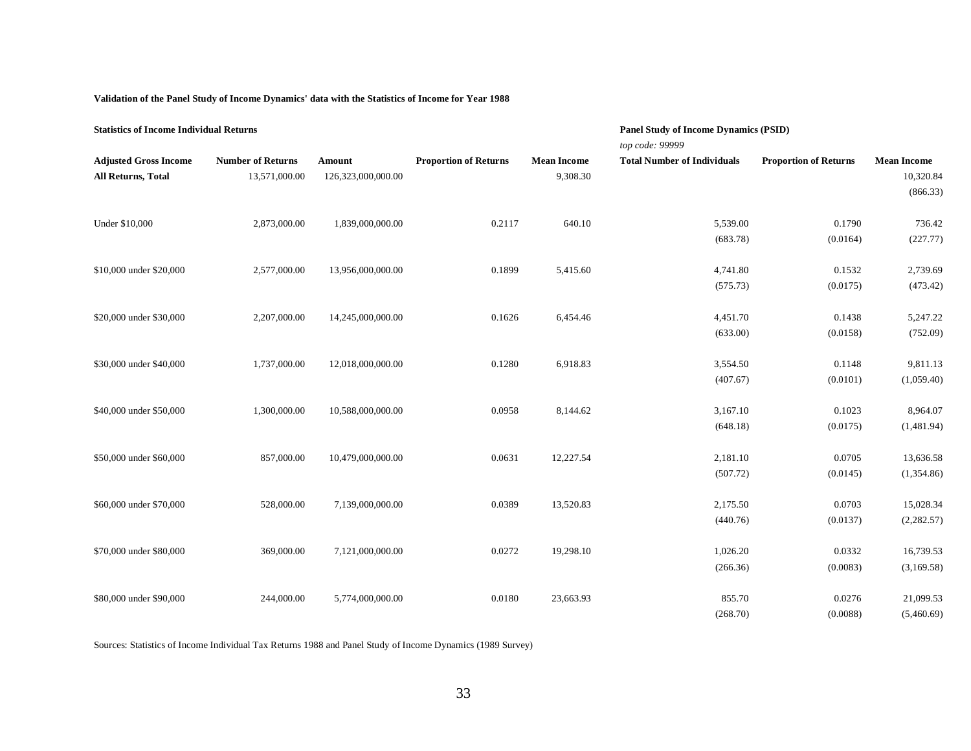#### **Validation of the Panel Study of Income Dynamics' data with the Statistics of Income for Year 1988**

| <b>Statistics of Income Individual Returns</b> |                          |                    |                              |                    | <b>Panel Study of Income Dynamics (PSID)</b> |                              |                    |  |
|------------------------------------------------|--------------------------|--------------------|------------------------------|--------------------|----------------------------------------------|------------------------------|--------------------|--|
|                                                |                          |                    |                              |                    | top code: 99999                              |                              |                    |  |
| <b>Adjusted Gross Income</b>                   | <b>Number of Returns</b> | Amount             | <b>Proportion of Returns</b> | <b>Mean Income</b> | <b>Total Number of Individuals</b>           | <b>Proportion of Returns</b> | <b>Mean Income</b> |  |
| All Returns, Total                             | 13,571,000.00            | 126,323,000,000.00 |                              | 9,308.30           |                                              |                              | 10,320.84          |  |
|                                                |                          |                    |                              |                    |                                              |                              | (866.33)           |  |
| Under \$10,000                                 | 2,873,000.00             | 1,839,000,000.00   | 0.2117                       | 640.10             | 5,539.00                                     | 0.1790                       | 736.42             |  |
|                                                |                          |                    |                              |                    | (683.78)                                     | (0.0164)                     | (227.77)           |  |
| \$10,000 under \$20,000                        | 2,577,000.00             | 13,956,000,000.00  | 0.1899                       | 5,415.60           | 4,741.80                                     | 0.1532                       | 2,739.69           |  |
|                                                |                          |                    |                              |                    | (575.73)                                     | (0.0175)                     | (473.42)           |  |
| \$20,000 under \$30,000                        | 2,207,000.00             | 14,245,000,000.00  | 0.1626                       | 6,454.46           | 4,451.70                                     | 0.1438                       | 5,247.22           |  |
|                                                |                          |                    |                              |                    | (633.00)                                     | (0.0158)                     | (752.09)           |  |
| \$30,000 under \$40,000                        | 1,737,000.00             | 12,018,000,000.00  | 0.1280                       | 6,918.83           | 3,554.50                                     | 0.1148                       | 9,811.13           |  |
|                                                |                          |                    |                              |                    | (407.67)                                     | (0.0101)                     | (1,059.40)         |  |
| \$40,000 under \$50,000                        | 1,300,000.00             | 10,588,000,000.00  | 0.0958                       | 8,144.62           | 3,167.10                                     | 0.1023                       | 8,964.07           |  |
|                                                |                          |                    |                              |                    | (648.18)                                     | (0.0175)                     | (1,481.94)         |  |
| \$50,000 under \$60,000                        | 857,000.00               | 10,479,000,000.00  | 0.0631                       | 12,227.54          | 2,181.10                                     | 0.0705                       | 13,636.58          |  |
|                                                |                          |                    |                              |                    | (507.72)                                     | (0.0145)                     | (1,354.86)         |  |
| \$60,000 under \$70,000                        | 528,000.00               | 7,139,000,000.00   | 0.0389                       | 13,520.83          | 2,175.50                                     | 0.0703                       | 15,028.34          |  |
|                                                |                          |                    |                              |                    |                                              |                              |                    |  |
|                                                |                          |                    |                              |                    | (440.76)                                     | (0.0137)                     | (2,282.57)         |  |
| \$70,000 under \$80,000                        | 369,000.00               | 7,121,000,000.00   | 0.0272                       | 19,298.10          | 1,026.20                                     | 0.0332                       | 16,739.53          |  |
|                                                |                          |                    |                              |                    | (266.36)                                     | (0.0083)                     | (3,169.58)         |  |
| \$80,000 under \$90,000                        | 244,000.00               | 5,774,000,000.00   | 0.0180                       | 23,663.93          | 855.70                                       | 0.0276                       | 21,099.53          |  |
|                                                |                          |                    |                              |                    | (268.70)                                     | (0.0088)                     | (5,460.69)         |  |

Sources: Statistics of Income Individual Tax Returns 1988 and Panel Study of Income Dynamics (1989 Survey)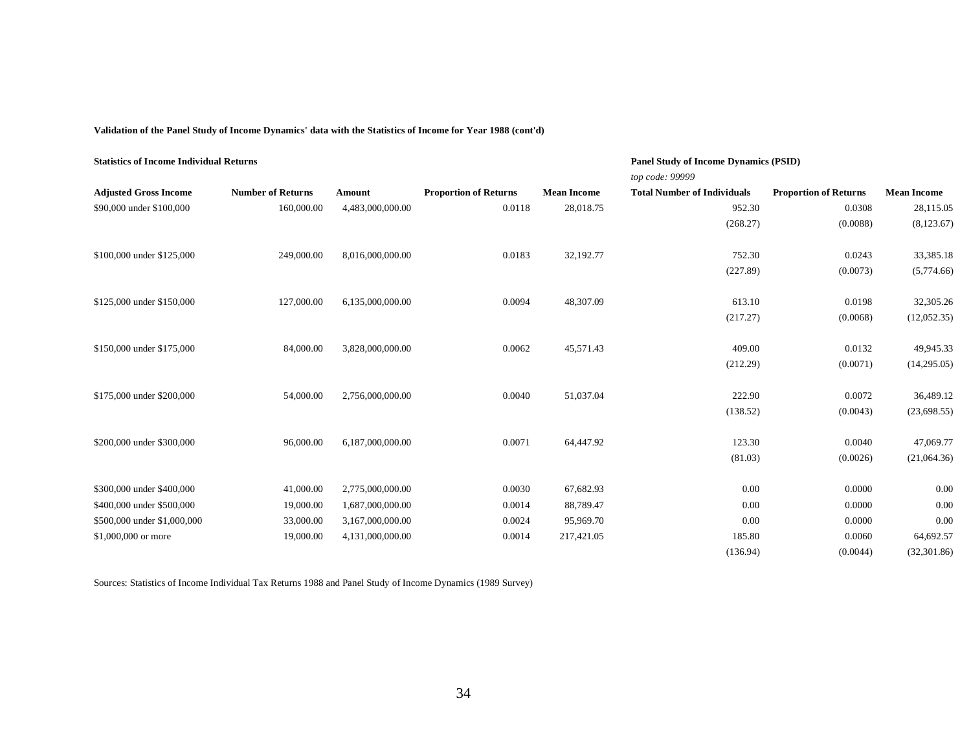**Validation of the Panel Study of Income Dynamics' data with the Statistics of Income for Year 1988 (cont'd)**

| <b>Statistics of Income Individual Returns</b> |                          |                  |                              |                    | <b>Panel Study of Income Dynamics (PSID)</b><br>top code: 99999 |                              |                    |
|------------------------------------------------|--------------------------|------------------|------------------------------|--------------------|-----------------------------------------------------------------|------------------------------|--------------------|
| <b>Adjusted Gross Income</b>                   | <b>Number of Returns</b> | Amount           | <b>Proportion of Returns</b> | <b>Mean Income</b> | <b>Total Number of Individuals</b>                              | <b>Proportion of Returns</b> | <b>Mean Income</b> |
| \$90,000 under \$100,000                       | 160,000.00               | 4,483,000,000.00 | 0.0118                       | 28,018.75          | 952.30                                                          | 0.0308                       | 28,115.05          |
|                                                |                          |                  |                              |                    | (268.27)                                                        | (0.0088)                     | (8,123.67)         |
| \$100,000 under \$125,000                      | 249,000.00               | 8,016,000,000.00 | 0.0183                       | 32,192.77          | 752.30                                                          | 0.0243                       | 33,385.18          |
|                                                |                          |                  |                              |                    | (227.89)                                                        | (0.0073)                     | (5,774.66)         |
| \$125,000 under \$150,000                      | 127,000.00               | 6,135,000,000.00 | 0.0094                       | 48,307.09          | 613.10                                                          | 0.0198                       | 32,305.26          |
|                                                |                          |                  |                              |                    | (217.27)                                                        | (0.0068)                     | (12,052.35)        |
| \$150,000 under \$175,000                      | 84,000.00                | 3,828,000,000.00 | 0.0062                       | 45,571.43          | 409.00                                                          | 0.0132                       | 49,945.33          |
|                                                |                          |                  |                              |                    | (212.29)                                                        | (0.0071)                     | (14,295.05)        |
| \$175,000 under \$200,000                      | 54,000.00                | 2,756,000,000.00 | 0.0040                       | 51,037.04          | 222.90                                                          | 0.0072                       | 36,489.12          |
|                                                |                          |                  |                              |                    | (138.52)                                                        | (0.0043)                     | (23,698.55)        |
| \$200,000 under \$300,000                      | 96,000.00                | 6,187,000,000.00 | 0.0071                       | 64,447.92          | 123.30                                                          | 0.0040                       | 47,069.77          |
|                                                |                          |                  |                              |                    | (81.03)                                                         | (0.0026)                     | (21,064.36)        |
| \$300,000 under \$400,000                      | 41,000.00                | 2,775,000,000.00 | 0.0030                       | 67,682.93          | 0.00                                                            | 0.0000                       | 0.00               |
| \$400,000 under \$500,000                      | 19,000.00                | 1,687,000,000.00 | 0.0014                       | 88,789.47          | 0.00                                                            | 0.0000                       | 0.00               |
| \$500,000 under \$1,000,000                    | 33,000.00                | 3,167,000,000.00 | 0.0024                       | 95,969.70          | 0.00                                                            | 0.0000                       | 0.00               |
| \$1,000,000 or more                            | 19,000.00                | 4,131,000,000.00 | 0.0014                       | 217,421.05         | 185.80                                                          | 0.0060                       | 64,692.57          |
|                                                |                          |                  |                              |                    | (136.94)                                                        | (0.0044)                     | (32, 301.86)       |

Sources: Statistics of Income Individual Tax Returns 1988 and Panel Study of Income Dynamics (1989 Survey)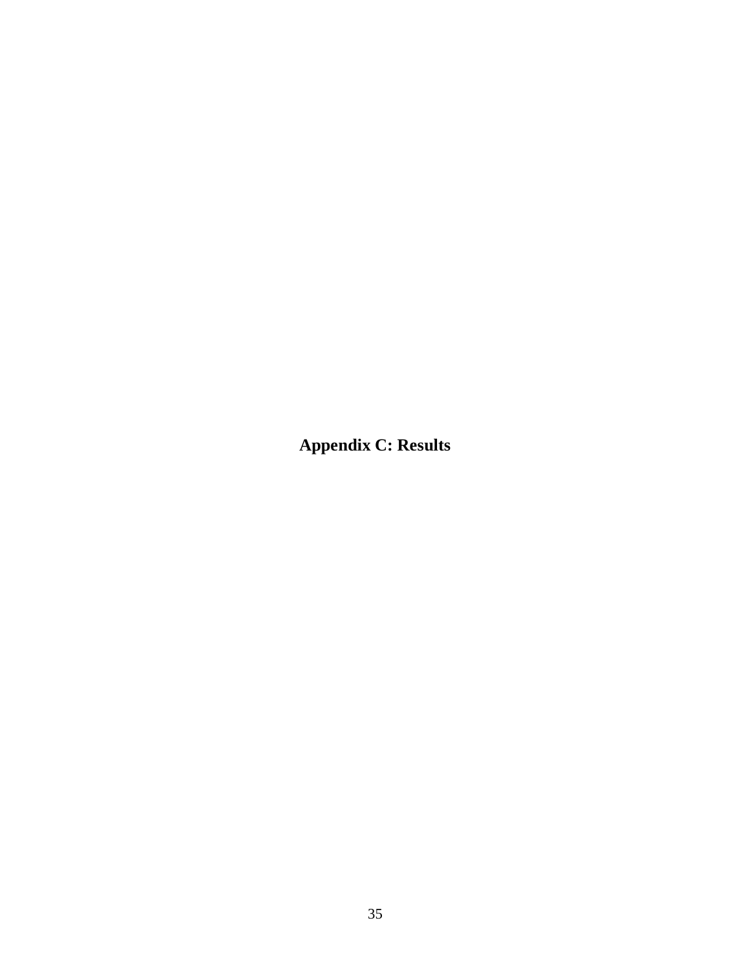<span id="page-40-0"></span>**Appendix C: Results**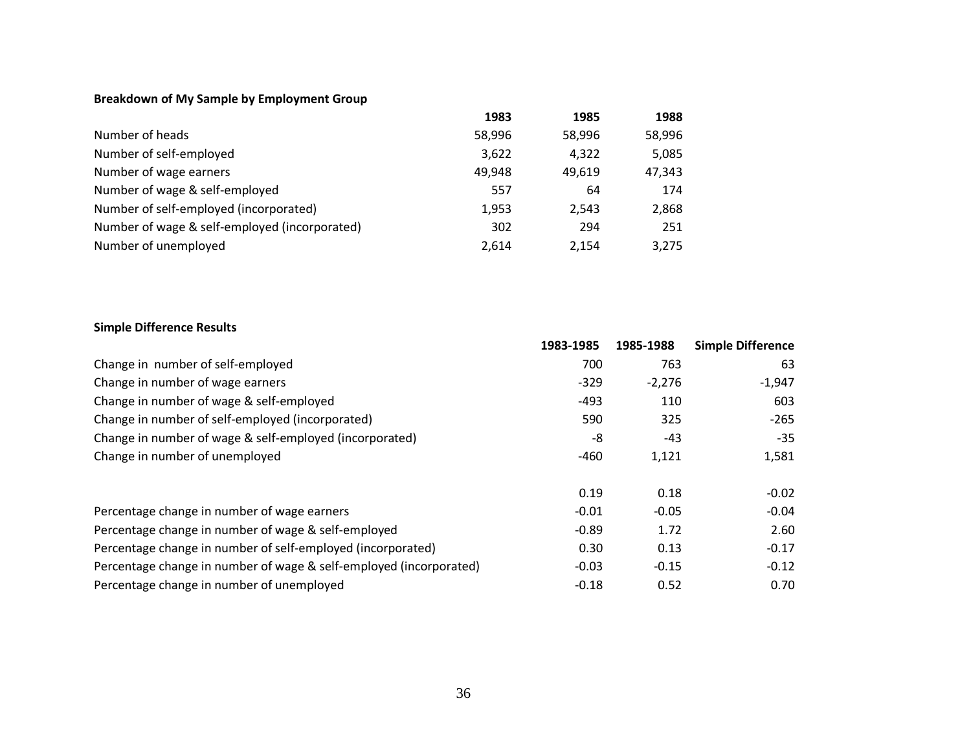## **Breakdown of My Sample by Employment Group**

|                                               | 1983   | 1985   | 1988   |
|-----------------------------------------------|--------|--------|--------|
| Number of heads                               | 58,996 | 58,996 | 58,996 |
| Number of self-employed                       | 3,622  | 4,322  | 5,085  |
| Number of wage earners                        | 49,948 | 49.619 | 47,343 |
| Number of wage & self-employed                | 557    | 64     | 174    |
| Number of self-employed (incorporated)        | 1,953  | 2.543  | 2,868  |
| Number of wage & self-employed (incorporated) | 302    | 294    | 251    |
| Number of unemployed                          | 2,614  | 2.154  | 3,275  |

## **Simple Difference Results**

|                                                                    | 1983-1985 | 1985-1988 | <b>Simple Difference</b> |
|--------------------------------------------------------------------|-----------|-----------|--------------------------|
| Change in number of self-employed                                  | 700       | 763       | 63                       |
| Change in number of wage earners                                   | $-329$    | $-2,276$  | $-1,947$                 |
| Change in number of wage & self-employed                           | $-493$    | 110       | 603                      |
| Change in number of self-employed (incorporated)                   | 590       | 325       | $-265$                   |
| Change in number of wage & self-employed (incorporated)            | -8        | $-43$     | $-35$                    |
| Change in number of unemployed                                     | $-460$    | 1,121     | 1,581                    |
|                                                                    |           |           |                          |
|                                                                    | 0.19      | 0.18      | $-0.02$                  |
| Percentage change in number of wage earners                        | $-0.01$   | $-0.05$   | $-0.04$                  |
| Percentage change in number of wage & self-employed                | $-0.89$   | 1.72      | 2.60                     |
| Percentage change in number of self-employed (incorporated)        | 0.30      | 0.13      | $-0.17$                  |
| Percentage change in number of wage & self-employed (incorporated) | $-0.03$   | $-0.15$   | $-0.12$                  |
| Percentage change in number of unemployed                          | $-0.18$   | 0.52      | 0.70                     |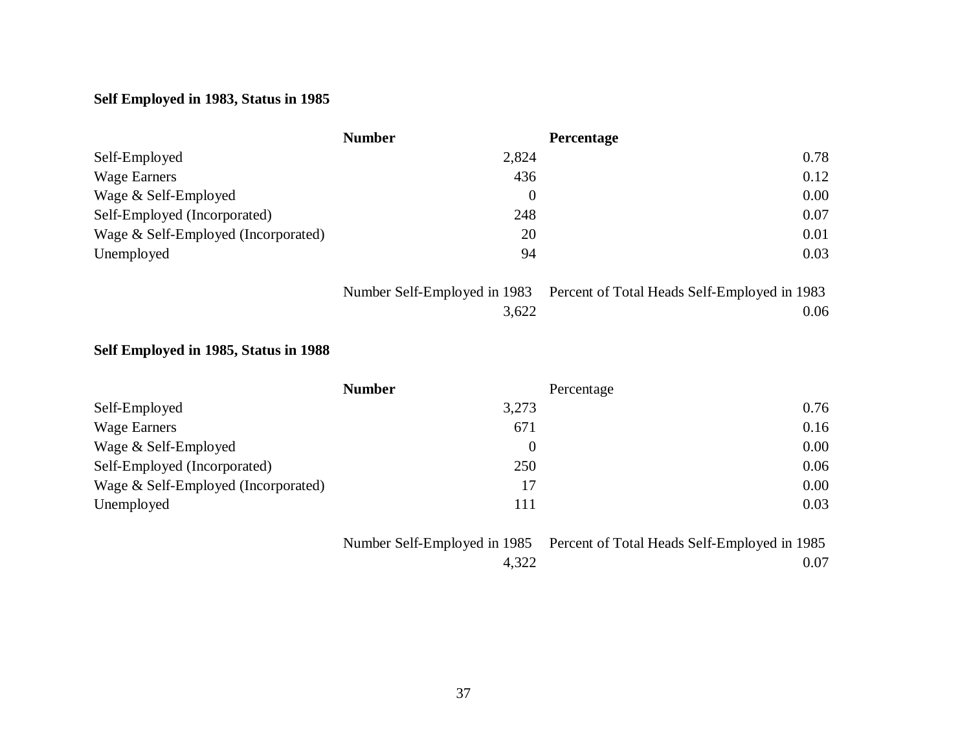# **Self Employed in 1983, Status in 1985**

|                                     | <b>Number</b> | <b>Percentage</b> |
|-------------------------------------|---------------|-------------------|
| Self-Employed                       | 2,824         | 0.78              |
| Wage Earners                        | 436           | 0.12              |
| Wage & Self-Employed                | $\theta$      | 0.00              |
| Self-Employed (Incorporated)        | 248           | 0.07              |
| Wage & Self-Employed (Incorporated) | 20            | 0.01              |
| Unemployed                          | 94            | 0.03              |

|       | Number Self-Employed in 1983 Percent of Total Heads Self-Employed in 1983 |
|-------|---------------------------------------------------------------------------|
| 3,622 | 0.06                                                                      |

# **Self Employed in 1985, Status in 1988**

|                                     | <b>Number</b> | Percentage |
|-------------------------------------|---------------|------------|
| Self-Employed                       | 3,273         | 0.76       |
| Wage Earners                        | 671           | 0.16       |
| Wage & Self-Employed                | $\theta$      | 0.00       |
| Self-Employed (Incorporated)        | 250           | 0.06       |
| Wage & Self-Employed (Incorporated) | 17            | 0.00       |
| Unemployed                          | 111           | 0.03       |

|       | Number Self-Employed in 1985 Percent of Total Heads Self-Employed in 1985 |
|-------|---------------------------------------------------------------------------|
| 4,322 | 0.07                                                                      |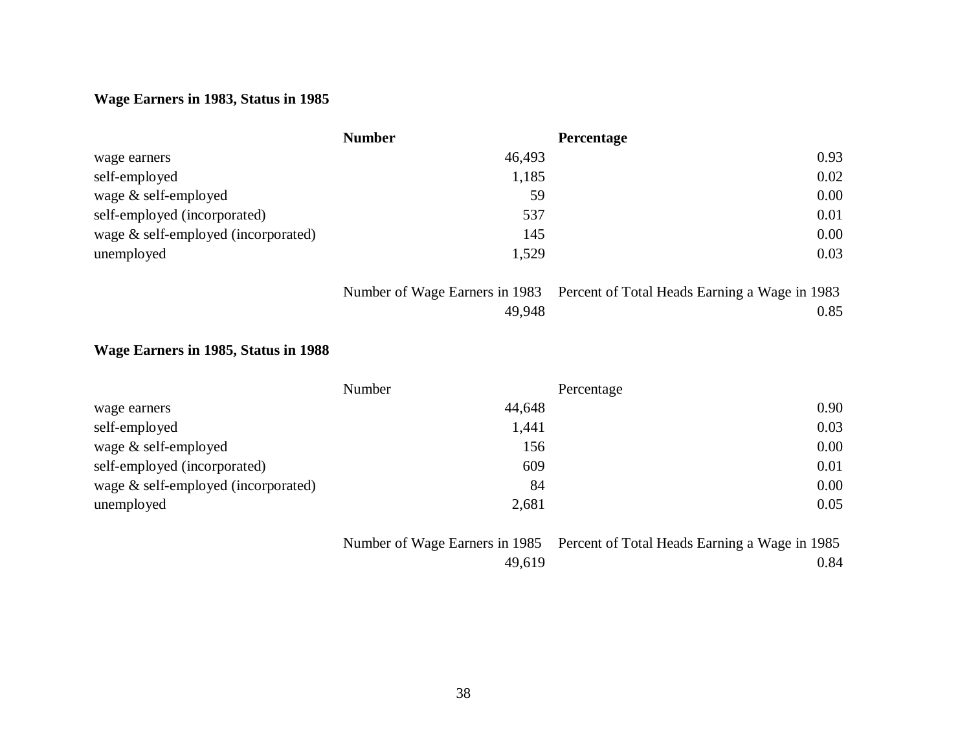## **Wage Earners in 1983, Status in 1985**

|                                     | <b>Number</b> | <b>Percentage</b> |
|-------------------------------------|---------------|-------------------|
| wage earners                        | 46,493        | 0.93              |
| self-employed                       | 1,185         | 0.02              |
| wage & self-employed                | 59            | 0.00              |
| self-employed (incorporated)        | 537           | 0.01              |
| wage & self-employed (incorporated) | 145           | 0.00              |
| unemployed                          | 1,529         | 0.03              |

|        | Number of Wage Earners in 1983 Percent of Total Heads Earning a Wage in 1983 |
|--------|------------------------------------------------------------------------------|
| 49.948 | 0.85                                                                         |

## **Wage Earners in 1985, Status in 1988**

|                                     | Number | Percentage |
|-------------------------------------|--------|------------|
| wage earners                        | 44,648 | 0.90       |
| self-employed                       | 1,441  | 0.03       |
| wage $&$ self-employed              | 156    | 0.00       |
| self-employed (incorporated)        | 609    | 0.01       |
| wage & self-employed (incorporated) | 84     | 0.00       |
| unemployed                          | 2,681  | 0.05       |

|        | Number of Wage Earners in 1985 Percent of Total Heads Earning a Wage in 1985 |
|--------|------------------------------------------------------------------------------|
| 49.619 | 0.84                                                                         |